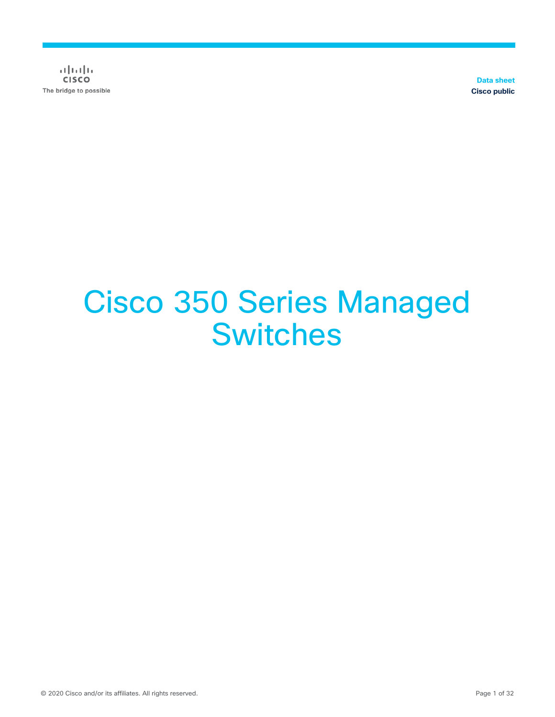$\alpha$  in the **CISCO** The bridge to possible

**Data sheet Cisco public**

# Cisco 350 Series Managed **Switches**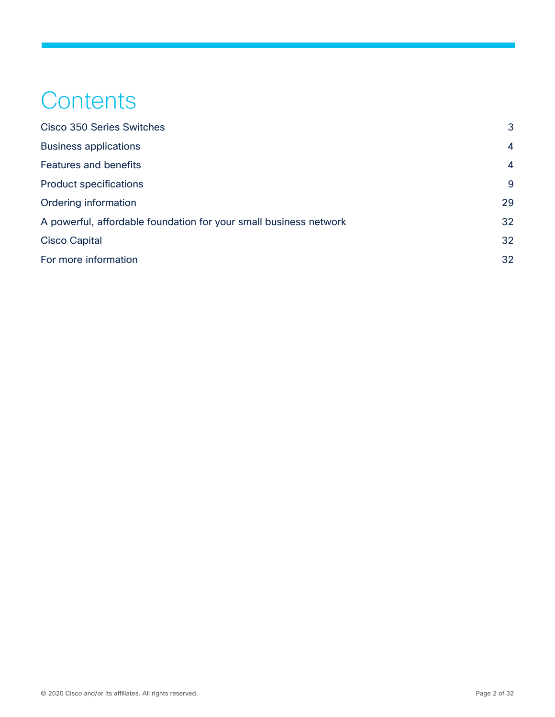## **Contents**

| <b>Cisco 350 Series Switches</b>                                  | 3              |
|-------------------------------------------------------------------|----------------|
| <b>Business applications</b>                                      | $\overline{4}$ |
| <b>Features and benefits</b>                                      | $\overline{4}$ |
| <b>Product specifications</b>                                     | 9              |
| Ordering information                                              | 29             |
| A powerful, affordable foundation for your small business network | 32             |
| <b>Cisco Capital</b>                                              | 32             |
| For more information                                              | 32             |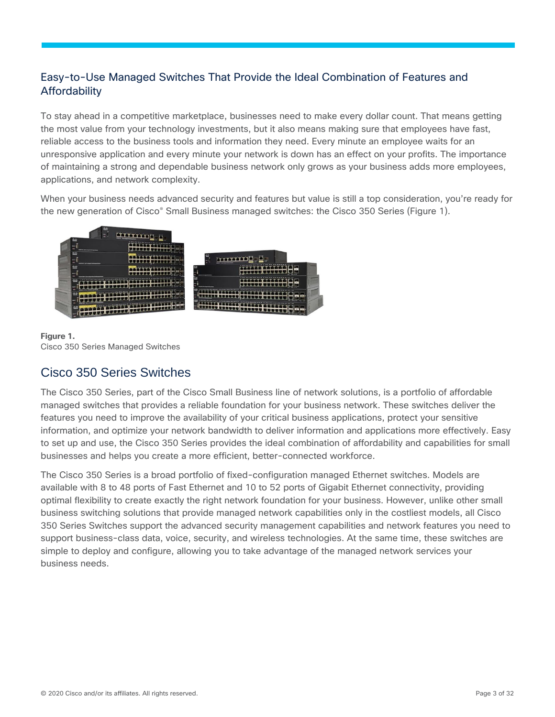## Easy-to-Use Managed Switches That Provide the Ideal Combination of Features and **Affordability**

To stay ahead in a competitive marketplace, businesses need to make every dollar count. That means getting the most value from your technology investments, but it also means making sure that employees have fast, reliable access to the business tools and information they need. Every minute an employee waits for an unresponsive application and every minute your network is down has an effect on your profits. The importance of maintaining a strong and dependable business network only grows as your business adds more employees, applications, and network complexity.

When your business needs advanced security and features but value is still a top consideration, you're ready for the new generation of Cisco<sup>®</sup> Small Business managed switches: the Cisco 350 Series (Figure 1).



**Figure 1.**  Cisco 350 Series Managed Switches

## <span id="page-2-0"></span>Cisco 350 Series Switches

The Cisco 350 Series, part of the Cisco Small Business line of network solutions, is a portfolio of affordable managed switches that provides a reliable foundation for your business network. These switches deliver the features you need to improve the availability of your critical business applications, protect your sensitive information, and optimize your network bandwidth to deliver information and applications more effectively. Easy to set up and use, the Cisco 350 Series provides the ideal combination of affordability and capabilities for small businesses and helps you create a more efficient, better-connected workforce.

The Cisco 350 Series is a broad portfolio of fixed-configuration managed Ethernet switches. Models are available with 8 to 48 ports of Fast Ethernet and 10 to 52 ports of Gigabit Ethernet connectivity, providing optimal flexibility to create exactly the right network foundation for your business. However, unlike other small business switching solutions that provide managed network capabilities only in the costliest models, all Cisco 350 Series Switches support the advanced security management capabilities and network features you need to support business-class data, voice, security, and wireless technologies. At the same time, these switches are simple to deploy and configure, allowing you to take advantage of the managed network services your business needs.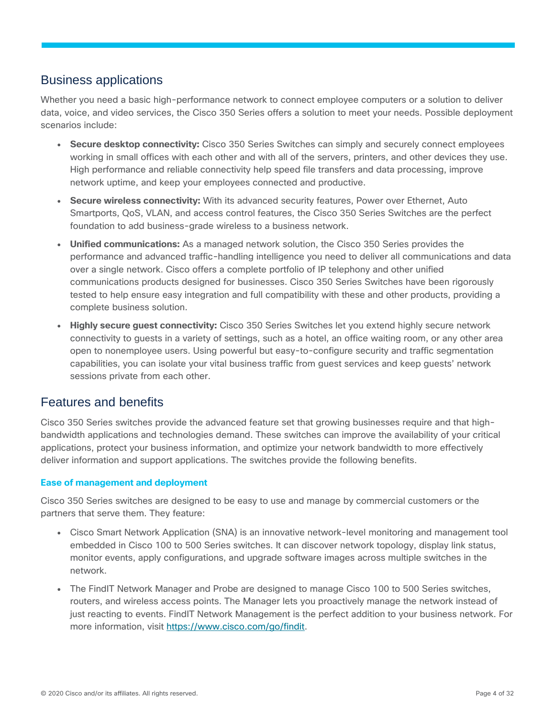## <span id="page-3-0"></span>Business applications

Whether you need a basic high-performance network to connect employee computers or a solution to deliver data, voice, and video services, the Cisco 350 Series offers a solution to meet your needs. Possible deployment scenarios include:

- **Secure desktop connectivity:** Cisco 350 Series Switches can simply and securely connect employees working in small offices with each other and with all of the servers, printers, and other devices they use. High performance and reliable connectivity help speed file transfers and data processing, improve network uptime, and keep your employees connected and productive.
- Secure wireless connectivity: With its advanced security features, Power over Ethernet, Auto Smartports, QoS, VLAN, and access control features, the Cisco 350 Series Switches are the perfect foundation to add business-grade wireless to a business network.
- Unified communications: As a managed network solution, the Cisco 350 Series provides the performance and advanced traffic-handling intelligence you need to deliver all communications and data over a single network. Cisco offers a complete portfolio of IP telephony and other unified communications products designed for businesses. Cisco 350 Series Switches have been rigorously tested to help ensure easy integration and full compatibility with these and other products, providing a complete business solution.
- **Highly secure guest connectivity:** Cisco 350 Series Switches let you extend highly secure network connectivity to guests in a variety of settings, such as a hotel, an office waiting room, or any other area open to nonemployee users. Using powerful but easy-to-configure security and traffic segmentation capabilities, you can isolate your vital business traffic from guest services and keep guests' network sessions private from each other.

## <span id="page-3-1"></span>Features and benefits

Cisco 350 Series switches provide the advanced feature set that growing businesses require and that highbandwidth applications and technologies demand. These switches can improve the availability of your critical applications, protect your business information, and optimize your network bandwidth to more effectively deliver information and support applications. The switches provide the following benefits.

#### **Ease of management and deployment**

Cisco 350 Series switches are designed to be easy to use and manage by commercial customers or the partners that serve them. They feature:

- Cisco Smart Network Application (SNA) is an innovative network-level monitoring and management tool embedded in Cisco 100 to 500 Series switches. It can discover network topology, display link status, monitor events, apply configurations, and upgrade software images across multiple switches in the network.
- The FindIT Network Manager and Probe are designed to manage Cisco 100 to 500 Series switches, routers, and wireless access points. The Manager lets you proactively manage the network instead of just reacting to events. FindIT Network Management is the perfect addition to your business network. For more information, visit [https://www.cisco.com/go/findit.](https://www.cisco.com/go/findit)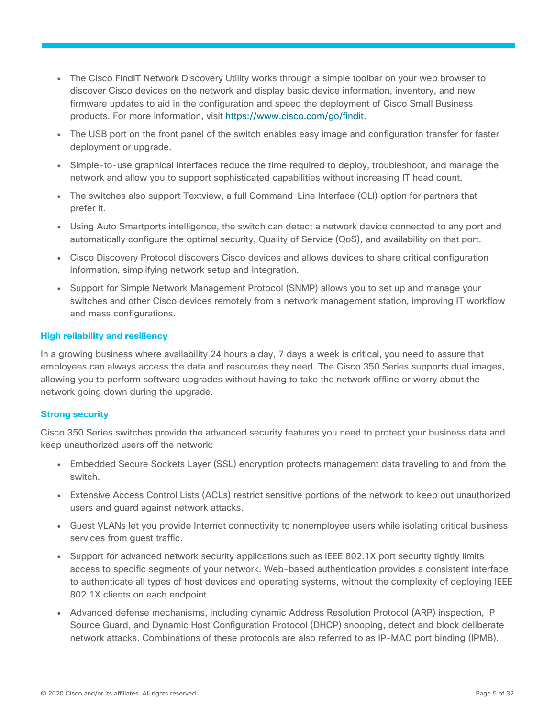- The Cisco FindIT Network Discovery Utility works through a simple toolbar on your web browser to discover Cisco devices on the network and display basic device information, inventory, and new firmware updates to aid in the configuration and speed the deployment of Cisco Small Business products. For more information, visit [https://www.cisco.com/go/findit.](https://www.cisco.com/go/findit)
- The USB port on the front panel of the switch enables easy image and configuration transfer for faster deployment or upgrade.
- Simple-to-use graphical interfaces reduce the time required to deploy, troubleshoot, and manage the network and allow you to support sophisticated capabilities without increasing IT head count.
- The switches also support Textview, a full Command-Line Interface (CLI) option for partners that prefer it.
- Using Auto Smartports intelligence, the switch can detect a network device connected to any port and automatically configure the optimal security, Quality of Service (QoS), and availability on that port.
- Cisco Discovery Protocol discovers Cisco devices and allows devices to share critical configuration information, simplifying network setup and integration.
- Support for Simple Network Management Protocol (SNMP) allows you to set up and manage your switches and other Cisco devices remotely from a network management station, improving IT workflow and mass configurations.

#### **High reliability and resiliency**

In a growing business where availability 24 hours a day, 7 days a week is critical, you need to assure that employees can always access the data and resources they need. The Cisco 350 Series supports dual images, allowing you to perform software upgrades without having to take the network offline or worry about the network going down during the upgrade.

#### **Strong security**

Cisco 350 Series switches provide the advanced security features you need to protect your business data and keep unauthorized users off the network:

- Embedded Secure Sockets Layer (SSL) encryption protects management data traveling to and from the switch.
- Extensive Access Control Lists (ACLs) restrict sensitive portions of the network to keep out unauthorized users and guard against network attacks.
- Guest VLANs let you provide Internet connectivity to nonemployee users while isolating critical business services from guest traffic.
- Support for advanced network security applications such as IEEE 802.1X port security tightly limits access to specific segments of your network. Web-based authentication provides a consistent interface to authenticate all types of host devices and operating systems, without the complexity of deploying IEEE 802.1X clients on each endpoint.
- Advanced defense mechanisms, including dynamic Address Resolution Protocol (ARP) inspection, IP Source Guard, and Dynamic Host Configuration Protocol (DHCP) snooping, detect and block deliberate network attacks. Combinations of these protocols are also referred to as IP-MAC port binding (IPMB).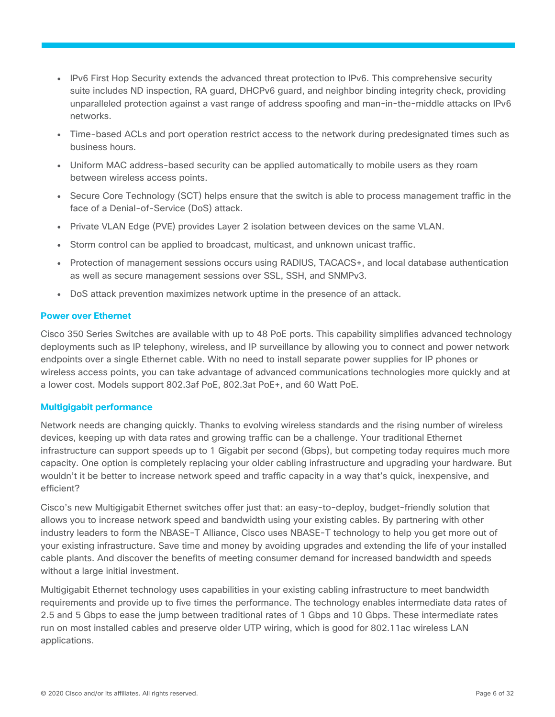- IPv6 First Hop Security extends the advanced threat protection to IPv6. This comprehensive security suite includes ND inspection, RA guard, DHCPv6 guard, and neighbor binding integrity check, providing unparalleled protection against a vast range of address spoofing and man-in-the-middle attacks on IPv6 networks.
- Time-based ACLs and port operation restrict access to the network during predesignated times such as business hours.
- Uniform MAC address-based security can be applied automatically to mobile users as they roam between wireless access points.
- Secure Core Technology (SCT) helps ensure that the switch is able to process management traffic in the face of a Denial-of-Service (DoS) attack.
- Private VLAN Edge (PVE) provides Layer 2 isolation between devices on the same VLAN.
- Storm control can be applied to broadcast, multicast, and unknown unicast traffic.
- Protection of management sessions occurs using RADIUS, TACACS+, and local database authentication as well as secure management sessions over SSL, SSH, and SNMPv3.
- DoS attack prevention maximizes network uptime in the presence of an attack.

#### **Power over Ethernet**

Cisco 350 Series Switches are available with up to 48 PoE ports. This capability simplifies advanced technology deployments such as IP telephony, wireless, and IP surveillance by allowing you to connect and power network endpoints over a single Ethernet cable. With no need to install separate power supplies for IP phones or wireless access points, you can take advantage of advanced communications technologies more quickly and at a lower cost. Models support 802.3af PoE, 802.3at PoE+, and 60 Watt PoE.

#### **Multigigabit performance**

Network needs are changing quickly. Thanks to evolving wireless standards and the rising number of wireless devices, keeping up with data rates and growing traffic can be a challenge. Your traditional Ethernet infrastructure can support speeds up to 1 Gigabit per second (Gbps), but competing today requires much more capacity. One option is completely replacing your older cabling infrastructure and upgrading your hardware. But wouldn't it be better to increase network speed and traffic capacity in a way that's quick, inexpensive, and efficient?

Cisco's new Multigigabit Ethernet switches offer just that: an easy-to-deploy, budget-friendly solution that allows you to increase network speed and bandwidth using your existing cables. By partnering with other industry leaders to form the NBASE-T Alliance, Cisco uses NBASE-T technology to help you get more out of your existing infrastructure. Save time and money by avoiding upgrades and extending the life of your installed cable plants. And discover the benefits of meeting consumer demand for increased bandwidth and speeds without a large initial investment.

Multigigabit Ethernet technology uses capabilities in your existing cabling infrastructure to meet bandwidth requirements and provide up to five times the performance. The technology enables intermediate data rates of 2.5 and 5 Gbps to ease the jump between traditional rates of 1 Gbps and 10 Gbps. These intermediate rates run on most installed cables and preserve older UTP wiring, which is good for 802.11ac wireless LAN applications.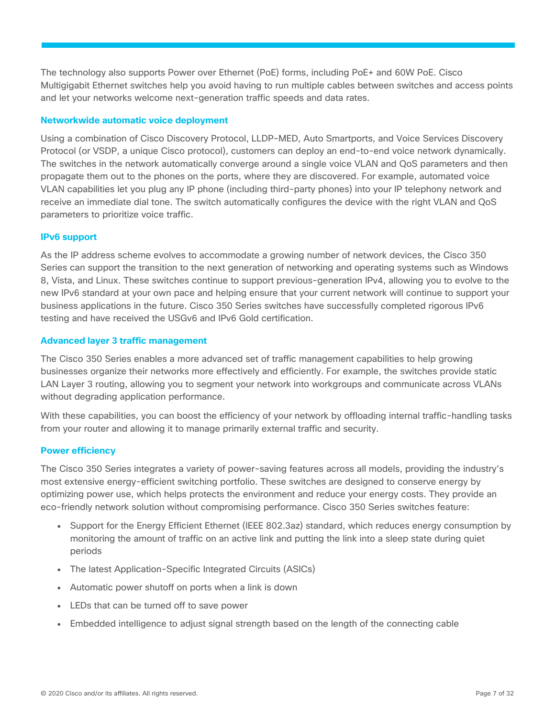The technology also supports Power over Ethernet (PoE) forms, including PoE+ and 60W PoE. Cisco Multigigabit Ethernet switches help you avoid having to run multiple cables between switches and access points and let your networks welcome next-generation traffic speeds and data rates.

#### **Networkwide automatic voice deployment**

Using a combination of Cisco Discovery Protocol, LLDP-MED, Auto Smartports, and Voice Services Discovery Protocol (or VSDP, a unique Cisco protocol), customers can deploy an end-to-end voice network dynamically. The switches in the network automatically converge around a single voice VLAN and QoS parameters and then propagate them out to the phones on the ports, where they are discovered. For example, automated voice VLAN capabilities let you plug any IP phone (including third-party phones) into your IP telephony network and receive an immediate dial tone. The switch automatically configures the device with the right VLAN and QoS parameters to prioritize voice traffic.

#### **IPv6 support**

As the IP address scheme evolves to accommodate a growing number of network devices, the Cisco 350 Series can support the transition to the next generation of networking and operating systems such as Windows 8, Vista, and Linux. These switches continue to support previous-generation IPv4, allowing you to evolve to the new IPv6 standard at your own pace and helping ensure that your current network will continue to support your business applications in the future. Cisco 350 Series switches have successfully completed rigorous IPv6 testing and have received the USGv6 and IPv6 Gold certification.

#### **Advanced layer 3 traffic management**

The Cisco 350 Series enables a more advanced set of traffic management capabilities to help growing businesses organize their networks more effectively and efficiently. For example, the switches provide static LAN Layer 3 routing, allowing you to segment your network into workgroups and communicate across VLANs without degrading application performance.

With these capabilities, you can boost the efficiency of your network by offloading internal traffic-handling tasks from your router and allowing it to manage primarily external traffic and security.

#### **Power efficiency**

The Cisco 350 Series integrates a variety of power-saving features across all models, providing the industry's most extensive energy-efficient switching portfolio. These switches are designed to conserve energy by optimizing power use, which helps protects the environment and reduce your energy costs. They provide an eco-friendly network solution without compromising performance. Cisco 350 Series switches feature:

- Support for the Energy Efficient Ethernet (IEEE 802.3az) standard, which reduces energy consumption by monitoring the amount of traffic on an active link and putting the link into a sleep state during quiet periods
- The latest Application-Specific Integrated Circuits (ASICs)
- Automatic power shutoff on ports when a link is down
- LEDs that can be turned off to save power
- Embedded intelligence to adjust signal strength based on the length of the connecting cable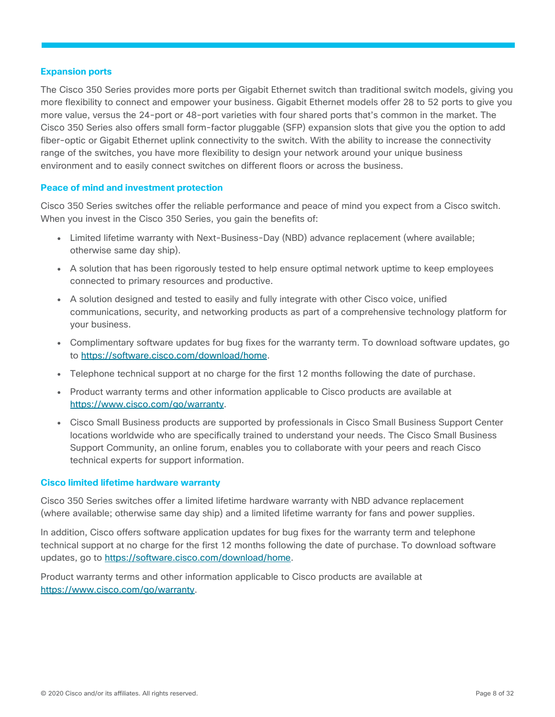#### **Expansion ports**

The Cisco 350 Series provides more ports per Gigabit Ethernet switch than traditional switch models, giving you more flexibility to connect and empower your business. Gigabit Ethernet models offer 28 to 52 ports to give you more value, versus the 24-port or 48-port varieties with four shared ports that's common in the market. The Cisco 350 Series also offers small form-factor pluggable (SFP) expansion slots that give you the option to add fiber-optic or Gigabit Ethernet uplink connectivity to the switch. With the ability to increase the connectivity range of the switches, you have more flexibility to design your network around your unique business environment and to easily connect switches on different floors or across the business.

#### **Peace of mind and investment protection**

Cisco 350 Series switches offer the reliable performance and peace of mind you expect from a Cisco switch. When you invest in the Cisco 350 Series, you gain the benefits of:

- Limited lifetime warranty with Next-Business-Day (NBD) advance replacement (where available; otherwise same day ship).
- A solution that has been rigorously tested to help ensure optimal network uptime to keep employees connected to primary resources and productive.
- A solution designed and tested to easily and fully integrate with other Cisco voice, unified communications, security, and networking products as part of a comprehensive technology platform for your business.
- Complimentary software updates for bug fixes for the warranty term. To download software updates, go to [https://software.cisco.com/download/home.](https://software.cisco.com/download/home)
- Telephone technical support at no charge for the first 12 months following the date of purchase.
- Product warranty terms and other information applicable to Cisco products are available at [https://www.cisco.com/go/warranty.](https://www.cisco.com/go/warranty)
- Cisco Small Business products are supported by professionals in Cisco Small Business Support Center locations worldwide who are specifically trained to understand your needs. The Cisco Small Business Support Community, an online forum, enables you to collaborate with your peers and reach Cisco technical experts for support information.

#### **Cisco limited lifetime hardware warranty**

Cisco 350 Series switches offer a limited lifetime hardware warranty with NBD advance replacement (where available; otherwise same day ship) and a limited lifetime warranty for fans and power supplies.

In addition, Cisco offers software application updates for bug fixes for the warranty term and telephone technical support at no charge for the first 12 months following the date of purchase. To download software updates, go to [https://software.cisco.com/download/home.](https://software.cisco.com/download/home)

Product warranty terms and other information applicable to Cisco products are available at [https://www.cisco.com/go/warranty.](https://www.cisco.com/go/warranty)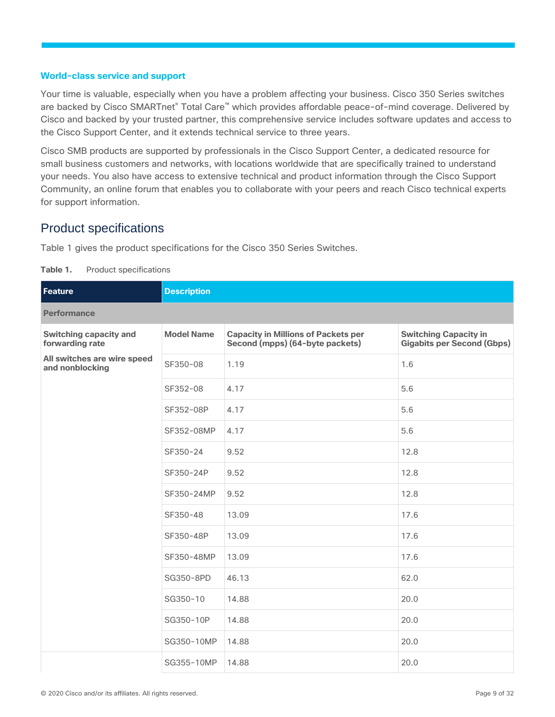#### **World-class service and support**

Your time is valuable, especially when you have a problem affecting your business. Cisco 350 Series switches are backed by Cisco SMARTnet® Total Care™ which provides affordable peace-of-mind coverage. Delivered by Cisco and backed by your trusted partner, this comprehensive service includes software updates and access to the Cisco Support Center, and it extends technical service to three years.

Cisco SMB products are supported by professionals in the Cisco Support Center, a dedicated resource for small business customers and networks, with locations worldwide that are specifically trained to understand your needs. You also have access to extensive technical and product information through the Cisco Support Community, an online forum that enables you to collaborate with your peers and reach Cisco technical experts for support information.

## <span id="page-8-0"></span>Product specifications

Table 1 gives the product specifications for the Cisco 350 Series Switches.

#### **Table 1.** Product specifications

| <b>Feature</b>                                   | <b>Description</b> |                                                                               |                                                                   |
|--------------------------------------------------|--------------------|-------------------------------------------------------------------------------|-------------------------------------------------------------------|
| <b>Performance</b>                               |                    |                                                                               |                                                                   |
| <b>Switching capacity and</b><br>forwarding rate | <b>Model Name</b>  | <b>Capacity in Millions of Packets per</b><br>Second (mpps) (64-byte packets) | <b>Switching Capacity in</b><br><b>Gigabits per Second (Gbps)</b> |
| All switches are wire speed<br>and nonblocking   | SF350-08           | 1.19                                                                          | 1.6                                                               |
|                                                  | SF352-08           | 4.17                                                                          | 5.6                                                               |
|                                                  | SF352-08P          | 4.17                                                                          | 5.6                                                               |
|                                                  | SF352-08MP         | 4.17                                                                          | 5.6                                                               |
|                                                  | SF350-24           | 9.52                                                                          | 12.8                                                              |
|                                                  | SF350-24P          | 9.52                                                                          | 12.8                                                              |
|                                                  | SF350-24MP         | 9.52                                                                          | 12.8                                                              |
|                                                  | SF350-48           | 13.09                                                                         | 17.6                                                              |
|                                                  | SF350-48P          | 13.09                                                                         | 17.6                                                              |
|                                                  | SF350-48MP         | 13.09                                                                         | 17.6                                                              |
|                                                  | SG350-8PD          | 46.13                                                                         | 62.0                                                              |
|                                                  | SG350-10           | 14.88                                                                         | 20.0                                                              |
|                                                  | SG350-10P          | 14.88                                                                         | 20.0                                                              |
|                                                  | SG350-10MP         | 14.88                                                                         | 20.0                                                              |
|                                                  | SG355-10MP         | 14.88                                                                         | 20.0                                                              |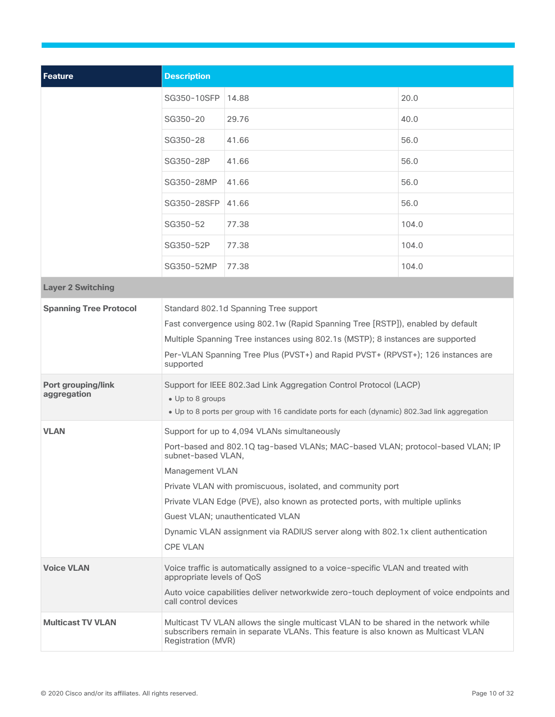| <b>Feature</b>                    | <b>Description</b>                                                                                                                                                                                                                                                                                                                                                                                                                                                  |       |       |
|-----------------------------------|---------------------------------------------------------------------------------------------------------------------------------------------------------------------------------------------------------------------------------------------------------------------------------------------------------------------------------------------------------------------------------------------------------------------------------------------------------------------|-------|-------|
|                                   | SG350-10SFP                                                                                                                                                                                                                                                                                                                                                                                                                                                         | 14.88 | 20.0  |
|                                   | SG350-20                                                                                                                                                                                                                                                                                                                                                                                                                                                            | 29.76 | 40.0  |
|                                   | SG350-28                                                                                                                                                                                                                                                                                                                                                                                                                                                            | 41.66 | 56.0  |
|                                   | SG350-28P                                                                                                                                                                                                                                                                                                                                                                                                                                                           | 41.66 | 56.0  |
|                                   | SG350-28MP                                                                                                                                                                                                                                                                                                                                                                                                                                                          | 41.66 | 56.0  |
|                                   | SG350-28SFP                                                                                                                                                                                                                                                                                                                                                                                                                                                         | 41.66 | 56.0  |
|                                   | SG350-52                                                                                                                                                                                                                                                                                                                                                                                                                                                            | 77.38 | 104.0 |
|                                   | SG350-52P                                                                                                                                                                                                                                                                                                                                                                                                                                                           | 77.38 | 104.0 |
|                                   | SG350-52MP                                                                                                                                                                                                                                                                                                                                                                                                                                                          | 77.38 | 104.0 |
| <b>Layer 2 Switching</b>          |                                                                                                                                                                                                                                                                                                                                                                                                                                                                     |       |       |
| <b>Spanning Tree Protocol</b>     | Standard 802.1d Spanning Tree support<br>Fast convergence using 802.1w (Rapid Spanning Tree [RSTP]), enabled by default<br>Multiple Spanning Tree instances using 802.1s (MSTP); 8 instances are supported<br>Per-VLAN Spanning Tree Plus (PVST+) and Rapid PVST+ (RPVST+); 126 instances are<br>supported                                                                                                                                                          |       |       |
| Port grouping/link<br>aggregation | Support for IEEE 802.3ad Link Aggregation Control Protocol (LACP)<br>• Up to 8 groups<br>. Up to 8 ports per group with 16 candidate ports for each (dynamic) 802.3ad link aggregation                                                                                                                                                                                                                                                                              |       |       |
| <b>VLAN</b>                       | Support for up to 4,094 VLANs simultaneously<br>Port-based and 802.1Q tag-based VLANs; MAC-based VLAN; protocol-based VLAN; IP<br>subnet-based VLAN,<br>Management VLAN<br>Private VLAN with promiscuous, isolated, and community port<br>Private VLAN Edge (PVE), also known as protected ports, with multiple uplinks<br>Guest VLAN; unauthenticated VLAN<br>Dynamic VLAN assignment via RADIUS server along with 802.1x client authentication<br><b>CPE VLAN</b> |       |       |
| <b>Voice VLAN</b>                 | Voice traffic is automatically assigned to a voice-specific VLAN and treated with<br>appropriate levels of QoS<br>Auto voice capabilities deliver networkwide zero-touch deployment of voice endpoints and<br>call control devices                                                                                                                                                                                                                                  |       |       |
| <b>Multicast TV VLAN</b>          | Multicast TV VLAN allows the single multicast VLAN to be shared in the network while<br>subscribers remain in separate VLANs. This feature is also known as Multicast VLAN<br>Registration (MVR)                                                                                                                                                                                                                                                                    |       |       |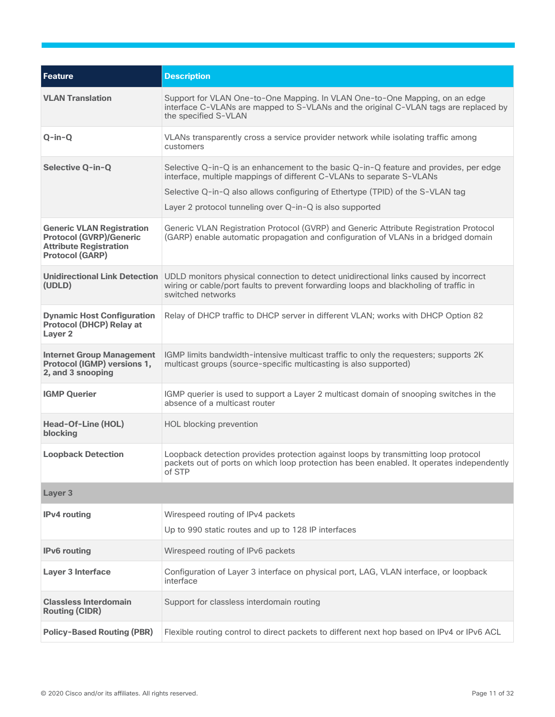| <b>Feature</b>                                                                                                                | <b>Description</b>                                                                                                                                                                                                                                                                                           |
|-------------------------------------------------------------------------------------------------------------------------------|--------------------------------------------------------------------------------------------------------------------------------------------------------------------------------------------------------------------------------------------------------------------------------------------------------------|
| <b>VLAN Translation</b>                                                                                                       | Support for VLAN One-to-One Mapping. In VLAN One-to-One Mapping, on an edge<br>interface C-VLANs are mapped to S-VLANs and the original C-VLAN tags are replaced by<br>the specified S-VLAN                                                                                                                  |
| $Q$ -in- $Q$                                                                                                                  | VLANs transparently cross a service provider network while isolating traffic among<br>customers                                                                                                                                                                                                              |
| Selective Q-in-Q                                                                                                              | Selective Q-in-Q is an enhancement to the basic Q-in-Q feature and provides, per edge<br>interface, multiple mappings of different C-VLANs to separate S-VLANs<br>Selective Q-in-Q also allows configuring of Ethertype (TPID) of the S-VLAN tag<br>Layer 2 protocol tunneling over Q-in-Q is also supported |
| <b>Generic VLAN Registration</b><br><b>Protocol (GVRP)/Generic</b><br><b>Attribute Registration</b><br><b>Protocol (GARP)</b> | Generic VLAN Registration Protocol (GVRP) and Generic Attribute Registration Protocol<br>(GARP) enable automatic propagation and configuration of VLANs in a bridged domain                                                                                                                                  |
| (UDLD)                                                                                                                        | Unidirectional Link Detection   UDLD monitors physical connection to detect unidirectional links caused by incorrect<br>wiring or cable/port faults to prevent forwarding loops and blackholing of traffic in<br>switched networks                                                                           |
| <b>Dynamic Host Configuration</b><br><b>Protocol (DHCP) Relay at</b><br>Layer 2                                               | Relay of DHCP traffic to DHCP server in different VLAN; works with DHCP Option 82                                                                                                                                                                                                                            |
| <b>Internet Group Management</b><br><b>Protocol (IGMP) versions 1,</b><br>2, and 3 snooping                                   | IGMP limits bandwidth-intensive multicast traffic to only the requesters; supports 2K<br>multicast groups (source-specific multicasting is also supported)                                                                                                                                                   |
| <b>IGMP Querier</b>                                                                                                           | IGMP querier is used to support a Layer 2 multicast domain of snooping switches in the<br>absence of a multicast router                                                                                                                                                                                      |
| Head-Of-Line (HOL)<br>blocking                                                                                                | HOL blocking prevention                                                                                                                                                                                                                                                                                      |
| <b>Loopback Detection</b>                                                                                                     | Loopback detection provides protection against loops by transmitting loop protocol<br>packets out of ports on which loop protection has been enabled. It operates independently<br>of STP                                                                                                                    |
| Layer 3                                                                                                                       |                                                                                                                                                                                                                                                                                                              |
| <b>IPv4</b> routing                                                                                                           | Wirespeed routing of IPv4 packets<br>Up to 990 static routes and up to 128 IP interfaces                                                                                                                                                                                                                     |
| <b>IPv6</b> routing                                                                                                           | Wirespeed routing of IPv6 packets                                                                                                                                                                                                                                                                            |
| <b>Layer 3 Interface</b>                                                                                                      | Configuration of Layer 3 interface on physical port, LAG, VLAN interface, or loopback<br>interface                                                                                                                                                                                                           |
| <b>Classless Interdomain</b><br><b>Routing (CIDR)</b>                                                                         | Support for classless interdomain routing                                                                                                                                                                                                                                                                    |
| <b>Policy-Based Routing (PBR)</b>                                                                                             | Flexible routing control to direct packets to different next hop based on IPv4 or IPv6 ACL                                                                                                                                                                                                                   |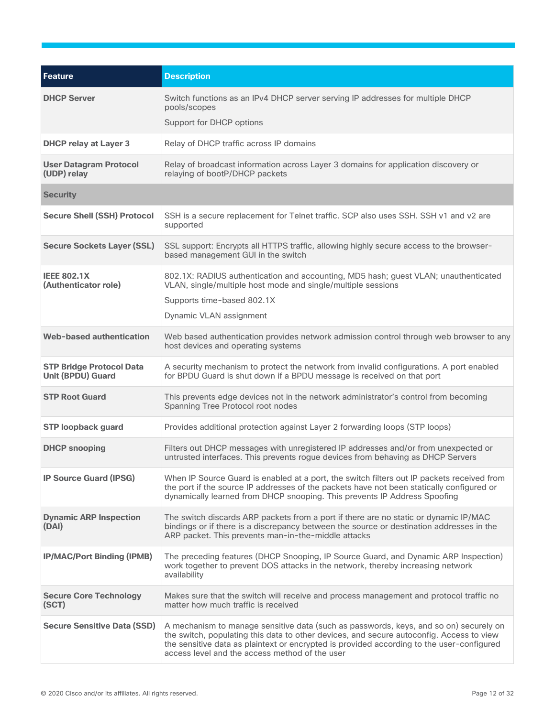| Feature                                                     | <b>Description</b>                                                                                                                                                                                                                                                                                                               |
|-------------------------------------------------------------|----------------------------------------------------------------------------------------------------------------------------------------------------------------------------------------------------------------------------------------------------------------------------------------------------------------------------------|
| <b>DHCP Server</b>                                          | Switch functions as an IPv4 DHCP server serving IP addresses for multiple DHCP<br>pools/scopes                                                                                                                                                                                                                                   |
|                                                             | Support for DHCP options                                                                                                                                                                                                                                                                                                         |
| <b>DHCP relay at Layer 3</b>                                | Relay of DHCP traffic across IP domains                                                                                                                                                                                                                                                                                          |
| <b>User Datagram Protocol</b><br>(UDP) relay                | Relay of broadcast information across Layer 3 domains for application discovery or<br>relaying of bootP/DHCP packets                                                                                                                                                                                                             |
| <b>Security</b>                                             |                                                                                                                                                                                                                                                                                                                                  |
| <b>Secure Shell (SSH) Protocol</b>                          | SSH is a secure replacement for Telnet traffic. SCP also uses SSH. SSH v1 and v2 are<br>supported                                                                                                                                                                                                                                |
| <b>Secure Sockets Layer (SSL)</b>                           | SSL support: Encrypts all HTTPS traffic, allowing highly secure access to the browser-<br>based management GUI in the switch                                                                                                                                                                                                     |
| <b>IEEE 802.1X</b><br>(Authenticator role)                  | 802.1X: RADIUS authentication and accounting, MD5 hash; guest VLAN; unauthenticated<br>VLAN, single/multiple host mode and single/multiple sessions<br>Supports time-based 802.1X                                                                                                                                                |
|                                                             | Dynamic VLAN assignment                                                                                                                                                                                                                                                                                                          |
| <b>Web-based authentication</b>                             | Web based authentication provides network admission control through web browser to any<br>host devices and operating systems                                                                                                                                                                                                     |
| <b>STP Bridge Protocol Data</b><br><b>Unit (BPDU) Guard</b> | A security mechanism to protect the network from invalid configurations. A port enabled<br>for BPDU Guard is shut down if a BPDU message is received on that port                                                                                                                                                                |
| <b>STP Root Guard</b>                                       | This prevents edge devices not in the network administrator's control from becoming<br>Spanning Tree Protocol root nodes                                                                                                                                                                                                         |
| <b>STP loopback guard</b>                                   | Provides additional protection against Layer 2 forwarding loops (STP loops)                                                                                                                                                                                                                                                      |
| <b>DHCP snooping</b>                                        | Filters out DHCP messages with unregistered IP addresses and/or from unexpected or<br>untrusted interfaces. This prevents rogue devices from behaving as DHCP Servers                                                                                                                                                            |
| <b>IP Source Guard (IPSG)</b>                               | When IP Source Guard is enabled at a port, the switch filters out IP packets received from<br>the port if the source IP addresses of the packets have not been statically configured or<br>dynamically learned from DHCP snooping. This prevents IP Address Spoofing                                                             |
| <b>Dynamic ARP Inspection</b><br>(DAI)                      | The switch discards ARP packets from a port if there are no static or dynamic IP/MAC<br>bindings or if there is a discrepancy between the source or destination addresses in the<br>ARP packet. This prevents man-in-the-middle attacks                                                                                          |
| <b>IP/MAC/Port Binding (IPMB)</b>                           | The preceding features (DHCP Snooping, IP Source Guard, and Dynamic ARP Inspection)<br>work together to prevent DOS attacks in the network, thereby increasing network<br>availability                                                                                                                                           |
| <b>Secure Core Technology</b><br>(SCT)                      | Makes sure that the switch will receive and process management and protocol traffic no<br>matter how much traffic is received                                                                                                                                                                                                    |
| <b>Secure Sensitive Data (SSD)</b>                          | A mechanism to manage sensitive data (such as passwords, keys, and so on) securely on<br>the switch, populating this data to other devices, and secure autoconfig. Access to view<br>the sensitive data as plaintext or encrypted is provided according to the user-configured<br>access level and the access method of the user |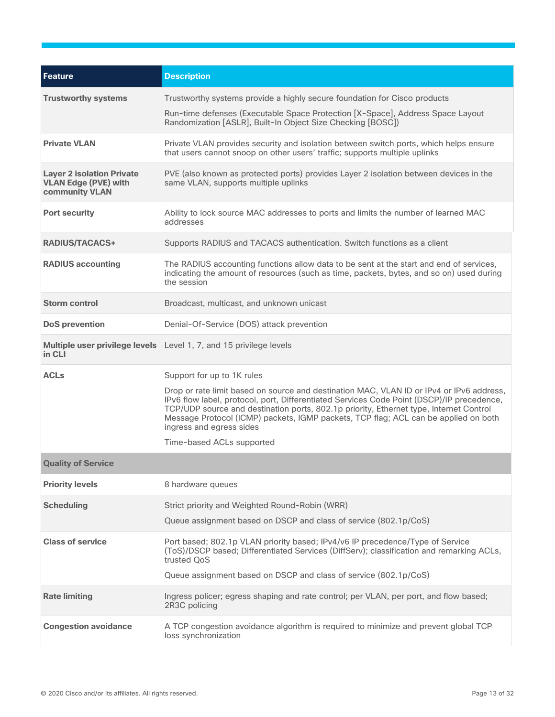| <b>Feature</b>                                                                    | <b>Description</b>                                                                                                                                                                                                                                                                                                                                                                                 |
|-----------------------------------------------------------------------------------|----------------------------------------------------------------------------------------------------------------------------------------------------------------------------------------------------------------------------------------------------------------------------------------------------------------------------------------------------------------------------------------------------|
| <b>Trustworthy systems</b>                                                        | Trustworthy systems provide a highly secure foundation for Cisco products                                                                                                                                                                                                                                                                                                                          |
|                                                                                   | Run-time defenses (Executable Space Protection [X-Space], Address Space Layout<br>Randomization [ASLR], Built-In Object Size Checking [BOSC])                                                                                                                                                                                                                                                      |
| <b>Private VLAN</b>                                                               | Private VLAN provides security and isolation between switch ports, which helps ensure<br>that users cannot snoop on other users' traffic; supports multiple uplinks                                                                                                                                                                                                                                |
| <b>Layer 2 isolation Private</b><br><b>VLAN Edge (PVE) with</b><br>community VLAN | PVE (also known as protected ports) provides Layer 2 isolation between devices in the<br>same VLAN, supports multiple uplinks                                                                                                                                                                                                                                                                      |
| <b>Port security</b>                                                              | Ability to lock source MAC addresses to ports and limits the number of learned MAC<br>addresses                                                                                                                                                                                                                                                                                                    |
| <b>RADIUS/TACACS+</b>                                                             | Supports RADIUS and TACACS authentication. Switch functions as a client                                                                                                                                                                                                                                                                                                                            |
| <b>RADIUS accounting</b>                                                          | The RADIUS accounting functions allow data to be sent at the start and end of services,<br>indicating the amount of resources (such as time, packets, bytes, and so on) used during<br>the session                                                                                                                                                                                                 |
| <b>Storm control</b>                                                              | Broadcast, multicast, and unknown unicast                                                                                                                                                                                                                                                                                                                                                          |
| <b>DoS</b> prevention                                                             | Denial-Of-Service (DOS) attack prevention                                                                                                                                                                                                                                                                                                                                                          |
| Multiple user privilege levels<br>in CLI                                          | Level 1, 7, and 15 privilege levels                                                                                                                                                                                                                                                                                                                                                                |
| <b>ACLs</b>                                                                       | Support for up to 1K rules                                                                                                                                                                                                                                                                                                                                                                         |
|                                                                                   | Drop or rate limit based on source and destination MAC, VLAN ID or IPv4 or IPv6 address,<br>IPv6 flow label, protocol, port, Differentiated Services Code Point (DSCP)/IP precedence,<br>TCP/UDP source and destination ports, 802.1p priority, Ethernet type, Internet Control<br>Message Protocol (ICMP) packets, IGMP packets, TCP flag; ACL can be applied on both<br>ingress and egress sides |
|                                                                                   | Time-based ACLs supported                                                                                                                                                                                                                                                                                                                                                                          |
| <b>Quality of Service</b>                                                         |                                                                                                                                                                                                                                                                                                                                                                                                    |
| <b>Priority levels</b>                                                            | 8 hardware queues                                                                                                                                                                                                                                                                                                                                                                                  |
| <b>Scheduling</b>                                                                 | Strict priority and Weighted Round-Robin (WRR)                                                                                                                                                                                                                                                                                                                                                     |
|                                                                                   | Queue assignment based on DSCP and class of service (802.1p/CoS)                                                                                                                                                                                                                                                                                                                                   |
| <b>Class of service</b>                                                           | Port based; 802.1p VLAN priority based; IPv4/v6 IP precedence/Type of Service<br>(ToS)/DSCP based; Differentiated Services (DiffServ); classification and remarking ACLs,<br>trusted QoS                                                                                                                                                                                                           |
|                                                                                   | Queue assignment based on DSCP and class of service (802.1p/CoS)                                                                                                                                                                                                                                                                                                                                   |
| <b>Rate limiting</b>                                                              | Ingress policer; egress shaping and rate control; per VLAN, per port, and flow based;<br>2R3C policing                                                                                                                                                                                                                                                                                             |
| <b>Congestion avoidance</b>                                                       | A TCP congestion avoidance algorithm is required to minimize and prevent global TCP<br>loss synchronization                                                                                                                                                                                                                                                                                        |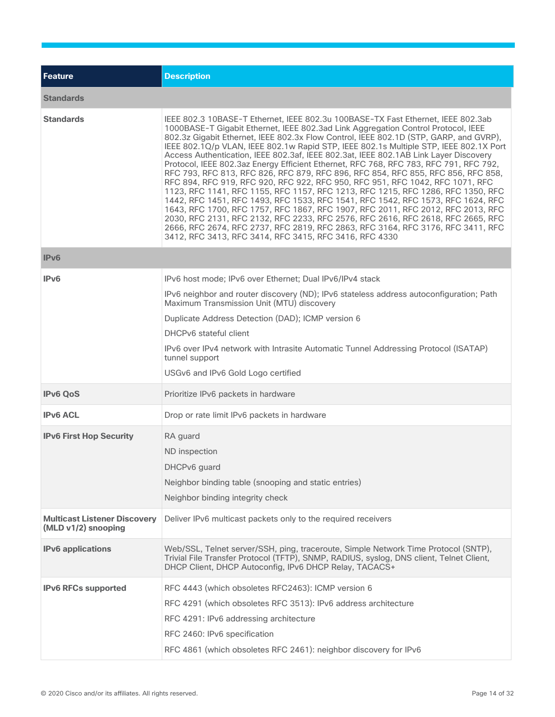| Feature                                                    | <b>Description</b>                                                                                                                                                                                                                                                                                                                                                                                                                                                                                                                                                                                                                                                                                                                                                                                                                                                                                                                                                                                                                                                                                                                                                                                     |
|------------------------------------------------------------|--------------------------------------------------------------------------------------------------------------------------------------------------------------------------------------------------------------------------------------------------------------------------------------------------------------------------------------------------------------------------------------------------------------------------------------------------------------------------------------------------------------------------------------------------------------------------------------------------------------------------------------------------------------------------------------------------------------------------------------------------------------------------------------------------------------------------------------------------------------------------------------------------------------------------------------------------------------------------------------------------------------------------------------------------------------------------------------------------------------------------------------------------------------------------------------------------------|
| <b>Standards</b>                                           |                                                                                                                                                                                                                                                                                                                                                                                                                                                                                                                                                                                                                                                                                                                                                                                                                                                                                                                                                                                                                                                                                                                                                                                                        |
| <b>Standards</b>                                           | IEEE 802.3 10BASE-T Ethernet, IEEE 802.3u 100BASE-TX Fast Ethernet, IEEE 802.3ab<br>1000BASE-T Gigabit Ethernet, IEEE 802.3ad Link Aggregation Control Protocol, IEEE<br>802.3z Gigabit Ethernet, IEEE 802.3x Flow Control, IEEE 802.1D (STP, GARP, and GVRP),<br>IEEE 802.1Q/p VLAN, IEEE 802.1w Rapid STP, IEEE 802.1s Multiple STP, IEEE 802.1X Port<br>Access Authentication, IEEE 802.3af, IEEE 802.3at, IEEE 802.1AB Link Layer Discovery<br>Protocol, IEEE 802.3az Energy Efficient Ethernet, RFC 768, RFC 783, RFC 791, RFC 792,<br>RFC 793, RFC 813, RFC 826, RFC 879, RFC 896, RFC 854, RFC 855, RFC 856, RFC 858,<br>RFC 894, RFC 919, RFC 920, RFC 922, RFC 950, RFC 951, RFC 1042, RFC 1071, RFC<br>1123, RFC 1141, RFC 1155, RFC 1157, RFC 1213, RFC 1215, RFC 1286, RFC 1350, RFC<br>1442, RFC 1451, RFC 1493, RFC 1533, RFC 1541, RFC 1542, RFC 1573, RFC 1624, RFC<br>1643, RFC 1700, RFC 1757, RFC 1867, RFC 1907, RFC 2011, RFC 2012, RFC 2013, RFC<br>2030, RFC 2131, RFC 2132, RFC 2233, RFC 2576, RFC 2616, RFC 2618, RFC 2665, RFC<br>2666, RFC 2674, RFC 2737, RFC 2819, RFC 2863, RFC 3164, RFC 3176, RFC 3411, RFC<br>3412, RFC 3413, RFC 3414, RFC 3415, RFC 3416, RFC 4330 |
| IPv6                                                       |                                                                                                                                                                                                                                                                                                                                                                                                                                                                                                                                                                                                                                                                                                                                                                                                                                                                                                                                                                                                                                                                                                                                                                                                        |
| IPv6                                                       | IPv6 host mode; IPv6 over Ethernet; Dual IPv6/IPv4 stack                                                                                                                                                                                                                                                                                                                                                                                                                                                                                                                                                                                                                                                                                                                                                                                                                                                                                                                                                                                                                                                                                                                                               |
|                                                            | IPv6 neighbor and router discovery (ND); IPv6 stateless address autoconfiguration; Path<br>Maximum Transmission Unit (MTU) discovery                                                                                                                                                                                                                                                                                                                                                                                                                                                                                                                                                                                                                                                                                                                                                                                                                                                                                                                                                                                                                                                                   |
|                                                            | Duplicate Address Detection (DAD); ICMP version 6                                                                                                                                                                                                                                                                                                                                                                                                                                                                                                                                                                                                                                                                                                                                                                                                                                                                                                                                                                                                                                                                                                                                                      |
|                                                            | DHCPv6 stateful client                                                                                                                                                                                                                                                                                                                                                                                                                                                                                                                                                                                                                                                                                                                                                                                                                                                                                                                                                                                                                                                                                                                                                                                 |
|                                                            | IPv6 over IPv4 network with Intrasite Automatic Tunnel Addressing Protocol (ISATAP)<br>tunnel support                                                                                                                                                                                                                                                                                                                                                                                                                                                                                                                                                                                                                                                                                                                                                                                                                                                                                                                                                                                                                                                                                                  |
|                                                            | USGv6 and IPv6 Gold Logo certified                                                                                                                                                                                                                                                                                                                                                                                                                                                                                                                                                                                                                                                                                                                                                                                                                                                                                                                                                                                                                                                                                                                                                                     |
| <b>IPv6 QoS</b>                                            | Prioritize IPv6 packets in hardware                                                                                                                                                                                                                                                                                                                                                                                                                                                                                                                                                                                                                                                                                                                                                                                                                                                                                                                                                                                                                                                                                                                                                                    |
| <b>IPv6 ACL</b>                                            | Drop or rate limit IPv6 packets in hardware                                                                                                                                                                                                                                                                                                                                                                                                                                                                                                                                                                                                                                                                                                                                                                                                                                                                                                                                                                                                                                                                                                                                                            |
| <b>IPv6 First Hop Security</b>                             | RA guard                                                                                                                                                                                                                                                                                                                                                                                                                                                                                                                                                                                                                                                                                                                                                                                                                                                                                                                                                                                                                                                                                                                                                                                               |
|                                                            | ND inspection                                                                                                                                                                                                                                                                                                                                                                                                                                                                                                                                                                                                                                                                                                                                                                                                                                                                                                                                                                                                                                                                                                                                                                                          |
|                                                            | DHCPv6 guard                                                                                                                                                                                                                                                                                                                                                                                                                                                                                                                                                                                                                                                                                                                                                                                                                                                                                                                                                                                                                                                                                                                                                                                           |
|                                                            | Neighbor binding table (snooping and static entries)                                                                                                                                                                                                                                                                                                                                                                                                                                                                                                                                                                                                                                                                                                                                                                                                                                                                                                                                                                                                                                                                                                                                                   |
|                                                            | Neighbor binding integrity check                                                                                                                                                                                                                                                                                                                                                                                                                                                                                                                                                                                                                                                                                                                                                                                                                                                                                                                                                                                                                                                                                                                                                                       |
| <b>Multicast Listener Discovery</b><br>(MLD v1/2) snooping | Deliver IPv6 multicast packets only to the required receivers                                                                                                                                                                                                                                                                                                                                                                                                                                                                                                                                                                                                                                                                                                                                                                                                                                                                                                                                                                                                                                                                                                                                          |
| <b>IPv6</b> applications                                   | Web/SSL, Telnet server/SSH, ping, traceroute, Simple Network Time Protocol (SNTP),<br>Trivial File Transfer Protocol (TFTP), SNMP, RADIUS, syslog, DNS client, Telnet Client,<br>DHCP Client, DHCP Autoconfig, IPv6 DHCP Relay, TACACS+                                                                                                                                                                                                                                                                                                                                                                                                                                                                                                                                                                                                                                                                                                                                                                                                                                                                                                                                                                |
| <b>IPv6 RFCs supported</b>                                 | RFC 4443 (which obsoletes RFC2463): ICMP version 6                                                                                                                                                                                                                                                                                                                                                                                                                                                                                                                                                                                                                                                                                                                                                                                                                                                                                                                                                                                                                                                                                                                                                     |
|                                                            | RFC 4291 (which obsoletes RFC 3513): IPv6 address architecture                                                                                                                                                                                                                                                                                                                                                                                                                                                                                                                                                                                                                                                                                                                                                                                                                                                                                                                                                                                                                                                                                                                                         |
|                                                            | RFC 4291: IPv6 addressing architecture                                                                                                                                                                                                                                                                                                                                                                                                                                                                                                                                                                                                                                                                                                                                                                                                                                                                                                                                                                                                                                                                                                                                                                 |
|                                                            | RFC 2460: IPv6 specification                                                                                                                                                                                                                                                                                                                                                                                                                                                                                                                                                                                                                                                                                                                                                                                                                                                                                                                                                                                                                                                                                                                                                                           |
|                                                            | RFC 4861 (which obsoletes RFC 2461): neighbor discovery for IPv6                                                                                                                                                                                                                                                                                                                                                                                                                                                                                                                                                                                                                                                                                                                                                                                                                                                                                                                                                                                                                                                                                                                                       |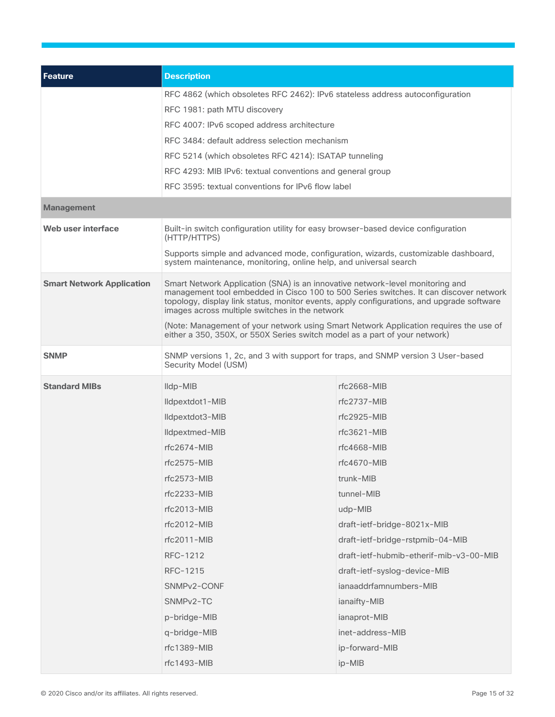| <b>Feature</b>                   | <b>Description</b>                                                                                                                                                                                                                                                                                                    |                                         |  |
|----------------------------------|-----------------------------------------------------------------------------------------------------------------------------------------------------------------------------------------------------------------------------------------------------------------------------------------------------------------------|-----------------------------------------|--|
|                                  | RFC 4862 (which obsoletes RFC 2462): IPv6 stateless address autoconfiguration                                                                                                                                                                                                                                         |                                         |  |
|                                  | RFC 1981: path MTU discovery                                                                                                                                                                                                                                                                                          |                                         |  |
|                                  | RFC 4007: IPv6 scoped address architecture                                                                                                                                                                                                                                                                            |                                         |  |
|                                  | RFC 3484: default address selection mechanism                                                                                                                                                                                                                                                                         |                                         |  |
|                                  | RFC 5214 (which obsoletes RFC 4214): ISATAP tunneling                                                                                                                                                                                                                                                                 |                                         |  |
|                                  | RFC 4293: MIB IPv6: textual conventions and general group                                                                                                                                                                                                                                                             |                                         |  |
|                                  | RFC 3595: textual conventions for IPv6 flow label                                                                                                                                                                                                                                                                     |                                         |  |
| <b>Management</b>                |                                                                                                                                                                                                                                                                                                                       |                                         |  |
| Web user interface               | Built-in switch configuration utility for easy browser-based device configuration<br>(HTTP/HTTPS)                                                                                                                                                                                                                     |                                         |  |
|                                  | Supports simple and advanced mode, configuration, wizards, customizable dashboard,<br>system maintenance, monitoring, online help, and universal search                                                                                                                                                               |                                         |  |
| <b>Smart Network Application</b> | Smart Network Application (SNA) is an innovative network-level monitoring and<br>management tool embedded in Cisco 100 to 500 Series switches. It can discover network<br>topology, display link status, monitor events, apply configurations, and upgrade software<br>images across multiple switches in the network |                                         |  |
|                                  | (Note: Management of your network using Smart Network Application requires the use of<br>either a 350, 350X, or 550X Series switch model as a part of your network)                                                                                                                                                   |                                         |  |
| <b>SNMP</b>                      | SNMP versions 1, 2c, and 3 with support for traps, and SNMP version 3 User-based<br>Security Model (USM)                                                                                                                                                                                                              |                                         |  |
| <b>Standard MIBs</b>             | Ildp-MIB                                                                                                                                                                                                                                                                                                              | $rfc2668-MIB$                           |  |
|                                  | Ildpextdot1-MIB                                                                                                                                                                                                                                                                                                       | $rfc2737-MIB$                           |  |
|                                  | Ildpextdot3-MIB                                                                                                                                                                                                                                                                                                       | $rfc2925-MIB$                           |  |
|                                  | Ildpextmed-MIB                                                                                                                                                                                                                                                                                                        | $rfc3621-MIB$                           |  |
|                                  | $rfc2674-MIB$                                                                                                                                                                                                                                                                                                         | $rfc4668-MIB$                           |  |
|                                  | $rfc2575-MIB$                                                                                                                                                                                                                                                                                                         | $rfc4670-MIB$                           |  |
|                                  | rfc2573-MIB                                                                                                                                                                                                                                                                                                           | trunk-MIB                               |  |
|                                  | rfc2233-MIB                                                                                                                                                                                                                                                                                                           | tunnel-MIB                              |  |
|                                  | rfc2013-MIB                                                                                                                                                                                                                                                                                                           | udp-MIB                                 |  |
|                                  | rfc2012-MIB                                                                                                                                                                                                                                                                                                           | draft-ietf-bridge-8021x-MIB             |  |
|                                  | rfc2011-MIB                                                                                                                                                                                                                                                                                                           | draft-ietf-bridge-rstpmib-04-MIB        |  |
|                                  | RFC-1212                                                                                                                                                                                                                                                                                                              | draft-ietf-hubmib-etherif-mib-v3-00-MIB |  |
|                                  | RFC-1215                                                                                                                                                                                                                                                                                                              | draft-ietf-syslog-device-MIB            |  |
|                                  | SNMPv2-CONF                                                                                                                                                                                                                                                                                                           | ianaaddrfamnumbers-MIB                  |  |
|                                  | SNMPv2-TC                                                                                                                                                                                                                                                                                                             | ianaifty-MIB                            |  |
|                                  | p-bridge-MIB                                                                                                                                                                                                                                                                                                          | ianaprot-MIB                            |  |
|                                  | q-bridge-MIB                                                                                                                                                                                                                                                                                                          | inet-address-MIB                        |  |
|                                  | rfc1389-MIB                                                                                                                                                                                                                                                                                                           | ip-forward-MIB                          |  |
|                                  | rfc1493-MIB                                                                                                                                                                                                                                                                                                           | ip-MIB                                  |  |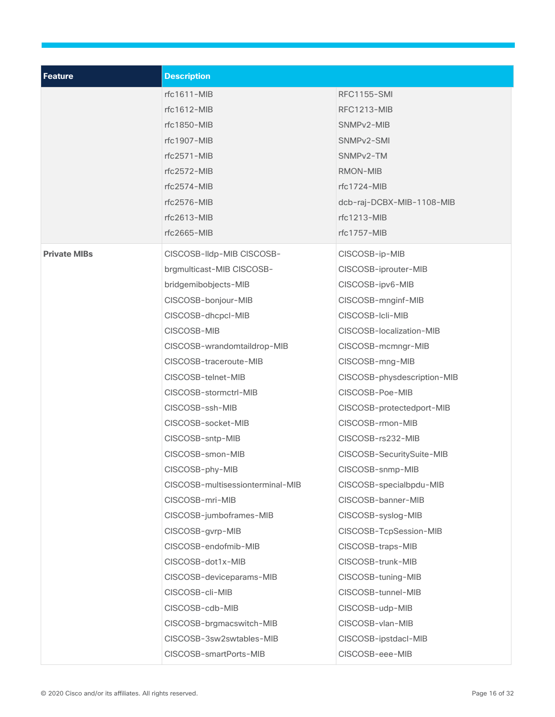| <b>Feature</b>      | <b>Description</b>               |                             |  |
|---------------------|----------------------------------|-----------------------------|--|
|                     | $rfc1611-MIB$                    | <b>RFC1155-SMI</b>          |  |
|                     | rfc1612-MIB                      | RFC1213-MIB                 |  |
|                     | rfc1850-MIB                      | SNMPv2-MIB                  |  |
|                     | rfc1907-MIB                      | SNMP <sub>v2</sub> -SMI     |  |
|                     | $rfc2571-MIB$                    | SNMP <sub>v2</sub> -TM      |  |
|                     | $rfc2572-MIB$                    | RMON-MIB                    |  |
|                     | $rfc2574-MIB$                    | rfc1724-MIB                 |  |
|                     | $rfc2576-MIB$                    | dcb-raj-DCBX-MIB-1108-MIB   |  |
|                     | $rfc2613-MIB$                    | $rfc1213-MIB$               |  |
|                     | rfc2665-MIB                      | rfc1757-MIB                 |  |
| <b>Private MIBs</b> | CISCOSB-Ildp-MIB CISCOSB-        | CISCOSB-ip-MIB              |  |
|                     | brgmulticast-MIB CISCOSB-        | CISCOSB-iprouter-MIB        |  |
|                     | bridgemibobjects-MIB             | CISCOSB-ipv6-MIB            |  |
|                     | CISCOSB-bonjour-MIB              | CISCOSB-mnginf-MIB          |  |
|                     | CISCOSB-dhcpcl-MIB               | CISCOSB-Icli-MIB            |  |
|                     | CISCOSB-MIB                      | CISCOSB-localization-MIB    |  |
|                     | CISCOSB-wrandomtaildrop-MIB      | CISCOSB-mcmngr-MIB          |  |
|                     | CISCOSB-traceroute-MIB           | CISCOSB-mng-MIB             |  |
|                     | CISCOSB-telnet-MIB               | CISCOSB-physdescription-MIB |  |
|                     | CISCOSB-stormctrl-MIB            | CISCOSB-Poe-MIB             |  |
|                     | CISCOSB-ssh-MIB                  | CISCOSB-protectedport-MIB   |  |
|                     | CISCOSB-socket-MIB               | CISCOSB-rmon-MIB            |  |
|                     | CISCOSB-sntp-MIB                 | CISCOSB-rs232-MIB           |  |
|                     | CISCOSB-smon-MIB                 | CISCOSB-SecuritySuite-MIB   |  |
|                     | CISCOSB-phy-MIB                  | CISCOSB-snmp-MIB            |  |
|                     | CISCOSB-multisessionterminal-MIB | CISCOSB-specialbpdu-MIB     |  |
|                     | CISCOSB-mri-MIB                  | CISCOSB-banner-MIB          |  |
|                     | CISCOSB-jumboframes-MIB          | CISCOSB-syslog-MIB          |  |
|                     | CISCOSB-gvrp-MIB                 | CISCOSB-TcpSession-MIB      |  |
|                     | CISCOSB-endofmib-MIB             | CISCOSB-traps-MIB           |  |
|                     | CISCOSB-dot1x-MIB                | CISCOSB-trunk-MIB           |  |
|                     | CISCOSB-deviceparams-MIB         | CISCOSB-tuning-MIB          |  |
|                     | CISCOSB-cli-MIB                  | CISCOSB-tunnel-MIB          |  |
|                     | CISCOSB-cdb-MIB                  | CISCOSB-udp-MIB             |  |
|                     | CISCOSB-brgmacswitch-MIB         | CISCOSB-vlan-MIB            |  |
|                     | CISCOSB-3sw2swtables-MIB         | CISCOSB-ipstdacl-MIB        |  |
|                     | CISCOSB-smartPorts-MIB           | CISCOSB-eee-MIB             |  |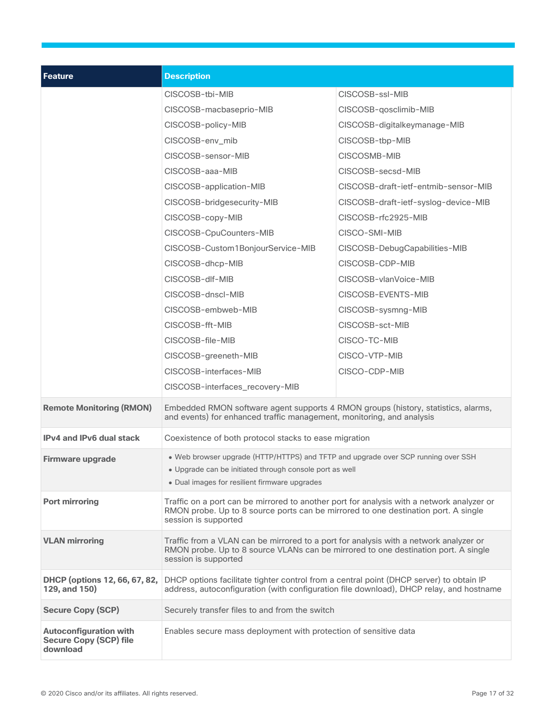| Feature                                                                    | <b>Description</b>                                                                                                                                                                                      |                                      |  |
|----------------------------------------------------------------------------|---------------------------------------------------------------------------------------------------------------------------------------------------------------------------------------------------------|--------------------------------------|--|
|                                                                            | CISCOSB-tbi-MIB                                                                                                                                                                                         | CISCOSB-ssI-MIB                      |  |
|                                                                            | CISCOSB-macbaseprio-MIB                                                                                                                                                                                 | CISCOSB-qosclimib-MIB                |  |
|                                                                            | CISCOSB-policy-MIB                                                                                                                                                                                      | CISCOSB-digitalkeymanage-MIB         |  |
|                                                                            | CISCOSB-env_mib                                                                                                                                                                                         | CISCOSB-tbp-MIB                      |  |
|                                                                            | CISCOSB-sensor-MIB                                                                                                                                                                                      | CISCOSMB-MIB                         |  |
|                                                                            | CISCOSB-aaa-MIB                                                                                                                                                                                         | CISCOSB-secsd-MIB                    |  |
|                                                                            | CISCOSB-application-MIB                                                                                                                                                                                 | CISCOSB-draft-ietf-entmib-sensor-MIB |  |
|                                                                            | CISCOSB-bridgesecurity-MIB                                                                                                                                                                              | CISCOSB-draft-ietf-syslog-device-MIB |  |
|                                                                            | CISCOSB-copy-MIB                                                                                                                                                                                        | CISCOSB-rfc2925-MIB                  |  |
|                                                                            | CISCOSB-CpuCounters-MIB                                                                                                                                                                                 | CISCO-SMI-MIB                        |  |
|                                                                            | CISCOSB-Custom1BonjourService-MIB                                                                                                                                                                       | CISCOSB-DebugCapabilities-MIB        |  |
|                                                                            | CISCOSB-dhcp-MIB                                                                                                                                                                                        | CISCOSB-CDP-MIB                      |  |
|                                                                            | CISCOSB-dlf-MIB                                                                                                                                                                                         | CISCOSB-vlanVoice-MIB                |  |
|                                                                            | CISCOSB-dnscl-MIB                                                                                                                                                                                       | CISCOSB-EVENTS-MIB                   |  |
|                                                                            | CISCOSB-embweb-MIB                                                                                                                                                                                      | CISCOSB-sysmng-MIB                   |  |
|                                                                            | CISCOSB-fft-MIB                                                                                                                                                                                         | CISCOSB-sct-MIB                      |  |
|                                                                            | CISCOSB-file-MIB                                                                                                                                                                                        | CISCO-TC-MIB                         |  |
|                                                                            | CISCOSB-greeneth-MIB                                                                                                                                                                                    | CISCO-VTP-MIB                        |  |
|                                                                            | CISCOSB-interfaces-MIB                                                                                                                                                                                  | CISCO-CDP-MIB                        |  |
|                                                                            | CISCOSB-interfaces_recovery-MIB                                                                                                                                                                         |                                      |  |
| <b>Remote Monitoring (RMON)</b>                                            | Embedded RMON software agent supports 4 RMON groups (history, statistics, alarms,<br>and events) for enhanced traffic management, monitoring, and analysis                                              |                                      |  |
| <b>IPv4 and IPv6 dual stack</b>                                            | Coexistence of both protocol stacks to ease migration                                                                                                                                                   |                                      |  |
| Firmware upgrade                                                           | . Web browser upgrade (HTTP/HTTPS) and TFTP and upgrade over SCP running over SSH                                                                                                                       |                                      |  |
|                                                                            | . Upgrade can be initiated through console port as well                                                                                                                                                 |                                      |  |
|                                                                            | • Dual images for resilient firmware upgrades                                                                                                                                                           |                                      |  |
| <b>Port mirroring</b>                                                      | Traffic on a port can be mirrored to another port for analysis with a network analyzer or<br>RMON probe. Up to 8 source ports can be mirrored to one destination port. A single<br>session is supported |                                      |  |
| <b>VLAN</b> mirroring                                                      | Traffic from a VLAN can be mirrored to a port for analysis with a network analyzer or<br>RMON probe. Up to 8 source VLANs can be mirrored to one destination port. A single<br>session is supported     |                                      |  |
| DHCP (options 12, 66, 67, 82,<br>129, and 150)                             | DHCP options facilitate tighter control from a central point (DHCP server) to obtain IP<br>address, autoconfiguration (with configuration file download), DHCP relay, and hostname                      |                                      |  |
| <b>Secure Copy (SCP)</b>                                                   | Securely transfer files to and from the switch                                                                                                                                                          |                                      |  |
| <b>Autoconfiguration with</b><br><b>Secure Copy (SCP) file</b><br>download | Enables secure mass deployment with protection of sensitive data                                                                                                                                        |                                      |  |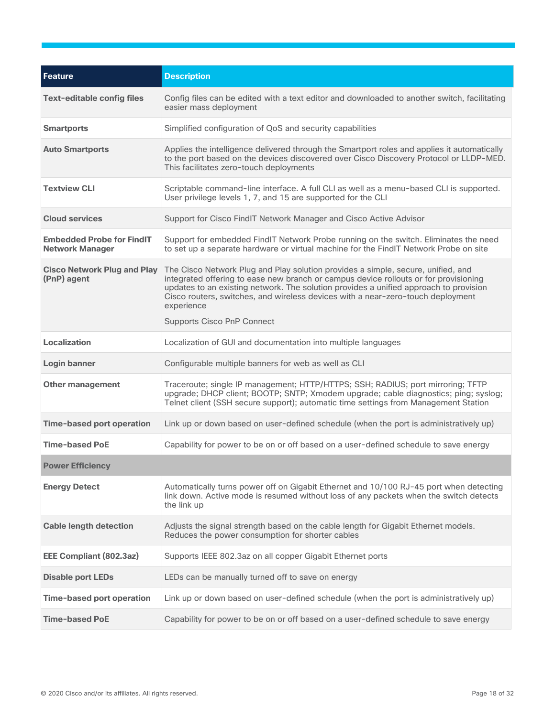| <b>Feature</b>                                             | <b>Description</b>                                                                                                                                                                                                                                                                                                                                                 |
|------------------------------------------------------------|--------------------------------------------------------------------------------------------------------------------------------------------------------------------------------------------------------------------------------------------------------------------------------------------------------------------------------------------------------------------|
| <b>Text-editable config files</b>                          | Config files can be edited with a text editor and downloaded to another switch, facilitating<br>easier mass deployment                                                                                                                                                                                                                                             |
| <b>Smartports</b>                                          | Simplified configuration of QoS and security capabilities                                                                                                                                                                                                                                                                                                          |
| <b>Auto Smartports</b>                                     | Applies the intelligence delivered through the Smartport roles and applies it automatically<br>to the port based on the devices discovered over Cisco Discovery Protocol or LLDP-MED.<br>This facilitates zero-touch deployments                                                                                                                                   |
| <b>Textview CLI</b>                                        | Scriptable command-line interface. A full CLI as well as a menu-based CLI is supported.<br>User privilege levels 1, 7, and 15 are supported for the CLI                                                                                                                                                                                                            |
| <b>Cloud services</b>                                      | Support for Cisco FindIT Network Manager and Cisco Active Advisor                                                                                                                                                                                                                                                                                                  |
| <b>Embedded Probe for FindIT</b><br><b>Network Manager</b> | Support for embedded FindIT Network Probe running on the switch. Eliminates the need<br>to set up a separate hardware or virtual machine for the FindIT Network Probe on site                                                                                                                                                                                      |
| <b>Cisco Network Plug and Play</b><br>(PnP) agent          | The Cisco Network Plug and Play solution provides a simple, secure, unified, and<br>integrated offering to ease new branch or campus device rollouts or for provisioning<br>updates to an existing network. The solution provides a unified approach to provision<br>Cisco routers, switches, and wireless devices with a near-zero-touch deployment<br>experience |
|                                                            | <b>Supports Cisco PnP Connect</b>                                                                                                                                                                                                                                                                                                                                  |
| <b>Localization</b>                                        | Localization of GUI and documentation into multiple languages                                                                                                                                                                                                                                                                                                      |
| Login banner                                               | Configurable multiple banners for web as well as CLI                                                                                                                                                                                                                                                                                                               |
| <b>Other management</b>                                    | Traceroute; single IP management; HTTP/HTTPS; SSH; RADIUS; port mirroring; TFTP<br>upgrade; DHCP client; BOOTP; SNTP; Xmodem upgrade; cable diagnostics; ping; syslog;<br>Telnet client (SSH secure support); automatic time settings from Management Station                                                                                                      |
| Time-based port operation                                  | Link up or down based on user-defined schedule (when the port is administratively up)                                                                                                                                                                                                                                                                              |
| <b>Time-based PoE</b>                                      | Capability for power to be on or off based on a user-defined schedule to save energy                                                                                                                                                                                                                                                                               |
| <b>Power Efficiency</b>                                    |                                                                                                                                                                                                                                                                                                                                                                    |
| <b>Energy Detect</b>                                       | Automatically turns power off on Gigabit Ethernet and 10/100 RJ-45 port when detecting<br>link down. Active mode is resumed without loss of any packets when the switch detects<br>the link up                                                                                                                                                                     |
| <b>Cable length detection</b>                              | Adjusts the signal strength based on the cable length for Gigabit Ethernet models.<br>Reduces the power consumption for shorter cables                                                                                                                                                                                                                             |
| <b>EEE Compliant (802.3az)</b>                             | Supports IEEE 802.3az on all copper Gigabit Ethernet ports                                                                                                                                                                                                                                                                                                         |
| <b>Disable port LEDs</b>                                   | LEDs can be manually turned off to save on energy                                                                                                                                                                                                                                                                                                                  |
| <b>Time-based port operation</b>                           | Link up or down based on user-defined schedule (when the port is administratively up)                                                                                                                                                                                                                                                                              |
| <b>Time-based PoE</b>                                      | Capability for power to be on or off based on a user-defined schedule to save energy                                                                                                                                                                                                                                                                               |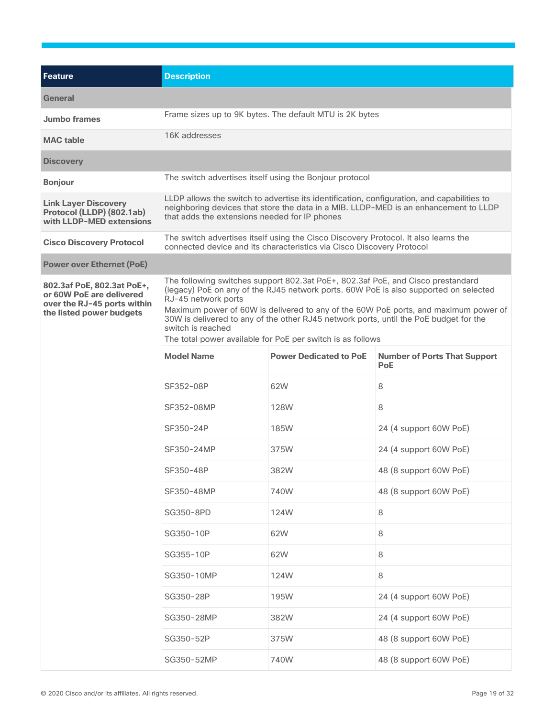| <b>Feature</b>                                                                                                    | <b>Description</b>                                                                                                                                                                                                                                                                                                                                                                                                                                                |                                                                                                                                                              |                                                   |
|-------------------------------------------------------------------------------------------------------------------|-------------------------------------------------------------------------------------------------------------------------------------------------------------------------------------------------------------------------------------------------------------------------------------------------------------------------------------------------------------------------------------------------------------------------------------------------------------------|--------------------------------------------------------------------------------------------------------------------------------------------------------------|---------------------------------------------------|
| General                                                                                                           |                                                                                                                                                                                                                                                                                                                                                                                                                                                                   |                                                                                                                                                              |                                                   |
| <b>Jumbo frames</b>                                                                                               | Frame sizes up to 9K bytes. The default MTU is 2K bytes                                                                                                                                                                                                                                                                                                                                                                                                           |                                                                                                                                                              |                                                   |
| <b>MAC</b> table                                                                                                  | 16K addresses                                                                                                                                                                                                                                                                                                                                                                                                                                                     |                                                                                                                                                              |                                                   |
| <b>Discovery</b>                                                                                                  |                                                                                                                                                                                                                                                                                                                                                                                                                                                                   |                                                                                                                                                              |                                                   |
| <b>Bonjour</b>                                                                                                    |                                                                                                                                                                                                                                                                                                                                                                                                                                                                   | The switch advertises itself using the Bonjour protocol                                                                                                      |                                                   |
| <b>Link Layer Discovery</b><br>Protocol (LLDP) (802.1ab)<br>with LLDP-MED extensions                              | LLDP allows the switch to advertise its identification, configuration, and capabilities to<br>neighboring devices that store the data in a MIB. LLDP-MED is an enhancement to LLDP<br>that adds the extensions needed for IP phones                                                                                                                                                                                                                               |                                                                                                                                                              |                                                   |
| <b>Cisco Discovery Protocol</b>                                                                                   |                                                                                                                                                                                                                                                                                                                                                                                                                                                                   | The switch advertises itself using the Cisco Discovery Protocol. It also learns the<br>connected device and its characteristics via Cisco Discovery Protocol |                                                   |
| <b>Power over Ethernet (PoE)</b>                                                                                  |                                                                                                                                                                                                                                                                                                                                                                                                                                                                   |                                                                                                                                                              |                                                   |
| 802.3af PoE, 802.3at PoE+,<br>or 60W PoE are delivered<br>over the RJ-45 ports within<br>the listed power budgets | The following switches support 802.3at PoE+, 802.3af PoE, and Cisco prestandard<br>(legacy) PoE on any of the RJ45 network ports. 60W PoE is also supported on selected<br>RJ-45 network ports<br>Maximum power of 60W is delivered to any of the 60W PoE ports, and maximum power of<br>30W is delivered to any of the other RJ45 network ports, until the PoE budget for the<br>switch is reached<br>The total power available for PoE per switch is as follows |                                                                                                                                                              |                                                   |
|                                                                                                                   | <b>Model Name</b>                                                                                                                                                                                                                                                                                                                                                                                                                                                 | <b>Power Dedicated to PoE</b>                                                                                                                                | <b>Number of Ports That Support</b><br><b>PoE</b> |
|                                                                                                                   | SF352-08P                                                                                                                                                                                                                                                                                                                                                                                                                                                         | 62W                                                                                                                                                          | 8                                                 |
|                                                                                                                   | SF352-08MP                                                                                                                                                                                                                                                                                                                                                                                                                                                        | <b>128W</b>                                                                                                                                                  | 8                                                 |
|                                                                                                                   | SF350-24P                                                                                                                                                                                                                                                                                                                                                                                                                                                         | <b>185W</b>                                                                                                                                                  | 24 (4 support 60W PoE)                            |
|                                                                                                                   | SF350-24MP                                                                                                                                                                                                                                                                                                                                                                                                                                                        | 375W                                                                                                                                                         | 24 (4 support 60W PoE)                            |
|                                                                                                                   | SF350-48P                                                                                                                                                                                                                                                                                                                                                                                                                                                         | 382W                                                                                                                                                         | 48 (8 support 60W PoE)                            |
|                                                                                                                   | SF350-48MP                                                                                                                                                                                                                                                                                                                                                                                                                                                        | 740W                                                                                                                                                         | 48 (8 support 60W PoE)                            |
|                                                                                                                   | SG350-8PD                                                                                                                                                                                                                                                                                                                                                                                                                                                         | 124W                                                                                                                                                         | 8                                                 |
|                                                                                                                   | SG350-10P                                                                                                                                                                                                                                                                                                                                                                                                                                                         | 62W                                                                                                                                                          | 8                                                 |
|                                                                                                                   | SG355-10P                                                                                                                                                                                                                                                                                                                                                                                                                                                         | 62W                                                                                                                                                          | 8                                                 |
|                                                                                                                   | SG350-10MP                                                                                                                                                                                                                                                                                                                                                                                                                                                        | 124W                                                                                                                                                         | 8                                                 |
|                                                                                                                   | SG350-28P                                                                                                                                                                                                                                                                                                                                                                                                                                                         | 195W                                                                                                                                                         | 24 (4 support 60W PoE)                            |
|                                                                                                                   | SG350-28MP                                                                                                                                                                                                                                                                                                                                                                                                                                                        | 382W                                                                                                                                                         | 24 (4 support 60W PoE)                            |
|                                                                                                                   | SG350-52P                                                                                                                                                                                                                                                                                                                                                                                                                                                         | 375W                                                                                                                                                         | 48 (8 support 60W PoE)                            |
|                                                                                                                   | SG350-52MP                                                                                                                                                                                                                                                                                                                                                                                                                                                        | 740W                                                                                                                                                         | 48 (8 support 60W PoE)                            |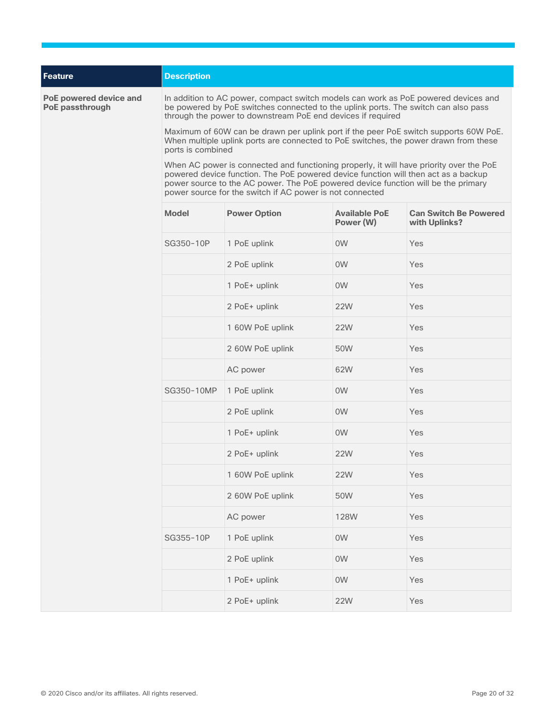| <b>Feature</b>                            | <b>Description</b>                                                                                                                                                                                                                                                                                                             |                                                                                                                                                                              |                                   |                                               |  |  |
|-------------------------------------------|--------------------------------------------------------------------------------------------------------------------------------------------------------------------------------------------------------------------------------------------------------------------------------------------------------------------------------|------------------------------------------------------------------------------------------------------------------------------------------------------------------------------|-----------------------------------|-----------------------------------------------|--|--|
| PoE powered device and<br>PoE passthrough | In addition to AC power, compact switch models can work as PoE powered devices and<br>be powered by PoE switches connected to the uplink ports. The switch can also pass<br>through the power to downstream PoE end devices if required                                                                                        |                                                                                                                                                                              |                                   |                                               |  |  |
|                                           | ports is combined                                                                                                                                                                                                                                                                                                              | Maximum of 60W can be drawn per uplink port if the peer PoE switch supports 60W PoE.<br>When multiple uplink ports are connected to PoE switches, the power drawn from these |                                   |                                               |  |  |
|                                           | When AC power is connected and functioning properly, it will have priority over the PoE<br>powered device function. The PoE powered device function will then act as a backup<br>power source to the AC power. The PoE powered device function will be the primary<br>power source for the switch if AC power is not connected |                                                                                                                                                                              |                                   |                                               |  |  |
|                                           | <b>Model</b>                                                                                                                                                                                                                                                                                                                   | <b>Power Option</b>                                                                                                                                                          | <b>Available PoE</b><br>Power (W) | <b>Can Switch Be Powered</b><br>with Uplinks? |  |  |
|                                           | SG350-10P                                                                                                                                                                                                                                                                                                                      | 1 PoE uplink                                                                                                                                                                 | <b>OW</b>                         | Yes                                           |  |  |
|                                           |                                                                                                                                                                                                                                                                                                                                | 2 PoE uplink                                                                                                                                                                 | 0W                                | Yes                                           |  |  |
|                                           |                                                                                                                                                                                                                                                                                                                                | 1 PoE+ uplink                                                                                                                                                                | 0W                                | Yes                                           |  |  |
|                                           |                                                                                                                                                                                                                                                                                                                                | 2 PoE+ uplink                                                                                                                                                                | <b>22W</b>                        | Yes                                           |  |  |
|                                           |                                                                                                                                                                                                                                                                                                                                | 1 60W PoE uplink                                                                                                                                                             | <b>22W</b>                        | <b>Yes</b>                                    |  |  |
|                                           |                                                                                                                                                                                                                                                                                                                                | 2 60W PoE uplink                                                                                                                                                             | 50W                               | Yes                                           |  |  |
|                                           |                                                                                                                                                                                                                                                                                                                                | AC power                                                                                                                                                                     | 62W                               | Yes                                           |  |  |
|                                           | SG350-10MP                                                                                                                                                                                                                                                                                                                     | 1 PoE uplink                                                                                                                                                                 | 0 <sub>W</sub>                    | <b>Yes</b>                                    |  |  |
|                                           |                                                                                                                                                                                                                                                                                                                                | 2 PoE uplink                                                                                                                                                                 | <b>OW</b>                         | Yes                                           |  |  |
|                                           |                                                                                                                                                                                                                                                                                                                                | 1 PoE+ uplink                                                                                                                                                                | <b>OW</b>                         | Yes                                           |  |  |
|                                           |                                                                                                                                                                                                                                                                                                                                | 2 PoE+ uplink                                                                                                                                                                | <b>22W</b>                        | Yes                                           |  |  |
|                                           |                                                                                                                                                                                                                                                                                                                                | 1 60W PoE uplink                                                                                                                                                             | <b>22W</b>                        | Yes                                           |  |  |
|                                           |                                                                                                                                                                                                                                                                                                                                | 2 60W PoE uplink                                                                                                                                                             | 50W                               | Yes                                           |  |  |
|                                           |                                                                                                                                                                                                                                                                                                                                | AC power                                                                                                                                                                     | <b>128W</b>                       | Yes                                           |  |  |
|                                           | SG355-10P                                                                                                                                                                                                                                                                                                                      | 1 PoE uplink                                                                                                                                                                 | 0W                                | Yes                                           |  |  |
|                                           |                                                                                                                                                                                                                                                                                                                                | 2 PoE uplink                                                                                                                                                                 | <b>OW</b>                         | Yes                                           |  |  |
|                                           |                                                                                                                                                                                                                                                                                                                                | 1 PoE+ uplink                                                                                                                                                                | 0W                                | Yes                                           |  |  |
|                                           |                                                                                                                                                                                                                                                                                                                                | 2 PoE+ uplink                                                                                                                                                                | <b>22W</b>                        | Yes                                           |  |  |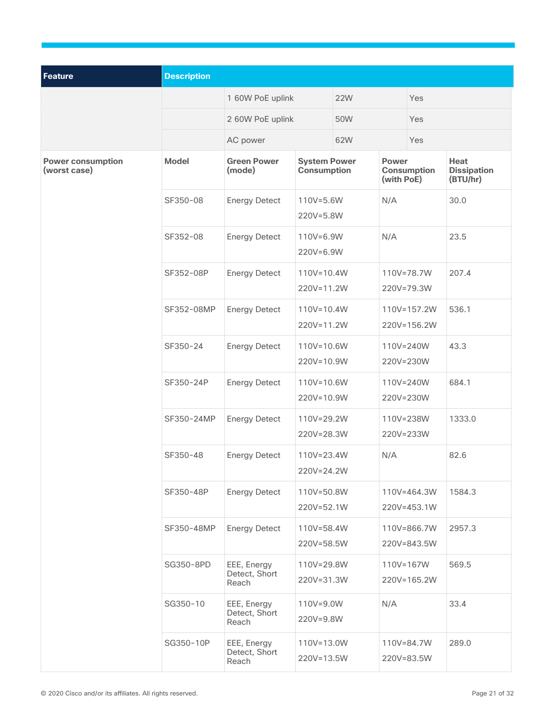| <b>Feature</b>                           | <b>Description</b> |                                       |                                           |            |                            |                            |                                               |
|------------------------------------------|--------------------|---------------------------------------|-------------------------------------------|------------|----------------------------|----------------------------|-----------------------------------------------|
|                                          |                    | 1 60W PoE uplink                      |                                           | <b>22W</b> |                            | Yes                        |                                               |
|                                          |                    | 2 60W PoE uplink                      |                                           | 50W        |                            | Yes                        |                                               |
|                                          |                    | AC power                              |                                           | 62W        |                            | Yes                        |                                               |
| <b>Power consumption</b><br>(worst case) | <b>Model</b>       | <b>Green Power</b><br>(mode)          | <b>System Power</b><br><b>Consumption</b> |            | <b>Power</b><br>(with PoE) | <b>Consumption</b>         | <b>Heat</b><br><b>Dissipation</b><br>(BTU/hr) |
|                                          | SF350-08           | <b>Energy Detect</b>                  | 110V=5.6W<br>220V=5.8W                    |            | N/A                        |                            | 30.0                                          |
|                                          | SF352-08           | <b>Energy Detect</b>                  | 110V=6.9W<br>220V=6.9W                    |            | N/A                        |                            | 23.5                                          |
|                                          | SF352-08P          | <b>Energy Detect</b>                  | $110V = 10.4W$<br>220V=11.2W              |            |                            | 110V=78.7W<br>220V=79.3W   | 207.4                                         |
|                                          | SF352-08MP         | <b>Energy Detect</b>                  | $110V = 10.4W$<br>220V=11.2W              |            |                            | 110V=157.2W<br>220V=156.2W | 536.1                                         |
|                                          | SF350-24           | <b>Energy Detect</b>                  | 110V=10.6W<br>220V=10.9W                  |            | 110V=240W<br>220V=230W     |                            | 43.3                                          |
|                                          | SF350-24P          | <b>Energy Detect</b>                  | 110V=10.6W<br>220V=10.9W                  |            | 110V=240W<br>220V=230W     |                            | 684.1                                         |
|                                          | SF350-24MP         | <b>Energy Detect</b>                  | 110V=29.2W<br>220V=28.3W                  |            | 110V=238W<br>220V=233W     |                            | 1333.0                                        |
|                                          | SF350-48           | <b>Energy Detect</b>                  | 110V=23.4W<br>N/A<br>220V=24.2W           |            |                            | 82.6                       |                                               |
|                                          | SF350-48P          | <b>Energy Detect</b>                  | 110V=50.8W<br>220V=52.1W                  |            |                            | 110V=464.3W<br>220V=453.1W | 1584.3                                        |
|                                          | SF350-48MP         | <b>Energy Detect</b>                  | 110V=58.4W<br>220V=58.5W                  |            |                            | 110V=866.7W<br>220V=843.5W | 2957.3                                        |
|                                          | SG350-8PD          | EEE, Energy<br>Detect, Short<br>Reach | 110V=29.8W<br>220V=31.3W                  |            | 110V=167W                  | 220V=165.2W                | 569.5                                         |
|                                          | SG350-10           | EEE, Energy<br>Detect, Short<br>Reach | 110V=9.0W<br>220V=9.8W                    |            | N/A                        |                            | 33.4                                          |
|                                          | SG350-10P          | EEE, Energy<br>Detect, Short<br>Reach | 110V=13.0W<br>220V=13.5W                  |            |                            | 110V=84.7W<br>220V=83.5W   | 289.0                                         |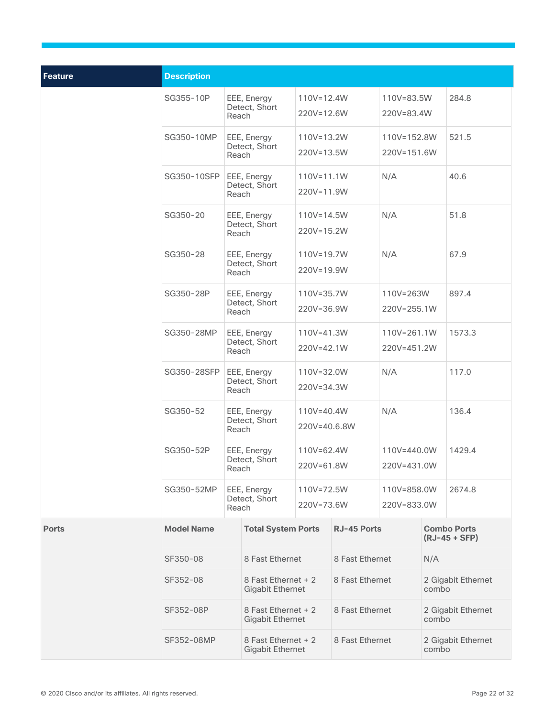| Feature      | <b>Description</b> |                                       |                                                |                              |                 |                            |       |                                       |
|--------------|--------------------|---------------------------------------|------------------------------------------------|------------------------------|-----------------|----------------------------|-------|---------------------------------------|
|              | SG355-10P          | Reach                                 | EEE, Energy<br>Detect, Short                   | 110V=12.4W<br>220V=12.6W     |                 | 110V=83.5W<br>220V=83.4W   |       | 284.8                                 |
|              | SG350-10MP         | Reach                                 | EEE, Energy<br>Detect, Short                   | 110V=13.2W<br>220V=13.5W     |                 | 110V=152.8W<br>220V=151.6W |       | 521.5                                 |
|              | SG350-10SFP        | Reach                                 | EEE, Energy<br>Detect, Short                   | $110V = 11.1W$<br>220V=11.9W |                 | N/A                        |       | 40.6                                  |
|              | SG350-20           | Reach                                 | EEE, Energy<br>Detect, Short                   | $110V = 14.5W$<br>220V=15.2W |                 | N/A                        |       | 51.8                                  |
|              | SG350-28           | Reach                                 | EEE, Energy<br>Detect, Short                   | 110V=19.7W<br>220V=19.9W     |                 | N/A                        |       | 67.9                                  |
|              | SG350-28P          | Reach                                 | EEE, Energy<br>Detect, Short                   | 110V=35.7W<br>220V=36.9W     |                 | 110V=263W<br>220V=255.1W   |       | 897.4                                 |
|              | SG350-28MP         | EEE, Energy<br>Detect, Short<br>Reach |                                                | 110V=41.3W<br>220V=42.1W     |                 | 110V=261.1W<br>220V=451.2W |       | 1573.3                                |
|              | SG350-28SFP        | EEE, Energy<br>Detect, Short<br>Reach |                                                | 110V=32.0W<br>220V=34.3W     |                 | N/A                        |       | 117.0                                 |
|              | SG350-52           | EEE, Energy<br>Detect, Short<br>Reach |                                                | 110V=40.4W<br>220V=40.6.8W   |                 | N/A                        |       | 136.4                                 |
|              | SG350-52P          | Reach                                 | EEE, Energy<br>Detect, Short                   | 110V=62.4W<br>220V=61.8W     |                 | 110V=440.0W<br>220V=431.0W |       | 1429.4                                |
|              | SG350-52MP         | Reach                                 | EEE, Energy<br>Detect, Short                   | 110V=72.5W<br>220V=73.6W     |                 | 110V=858.0W<br>220V=833.0W |       | 2674.8                                |
| <b>Ports</b> | <b>Model Name</b>  |                                       | <b>Total System Ports</b>                      | <b>RJ-45 Ports</b>           |                 |                            |       | <b>Combo Ports</b><br>$(RJ-45 + SFP)$ |
|              | SF350-08           |                                       | 8 Fast Ethernet                                |                              |                 | 8 Fast Ethernet            |       |                                       |
|              | SF352-08           |                                       | 8 Fast Ethernet + 2<br><b>Gigabit Ethernet</b> | 8 Fast Ethernet              |                 | combo                      |       | 2 Gigabit Ethernet                    |
|              | SF352-08P          |                                       | 8 Fast Ethernet + 2<br><b>Gigabit Ethernet</b> |                              | 8 Fast Ethernet | combo                      |       | 2 Gigabit Ethernet                    |
|              | SF352-08MP         |                                       | 8 Fast Ethernet + 2<br><b>Gigabit Ethernet</b> | 8 Fast Ethernet              |                 |                            | combo | 2 Gigabit Ethernet                    |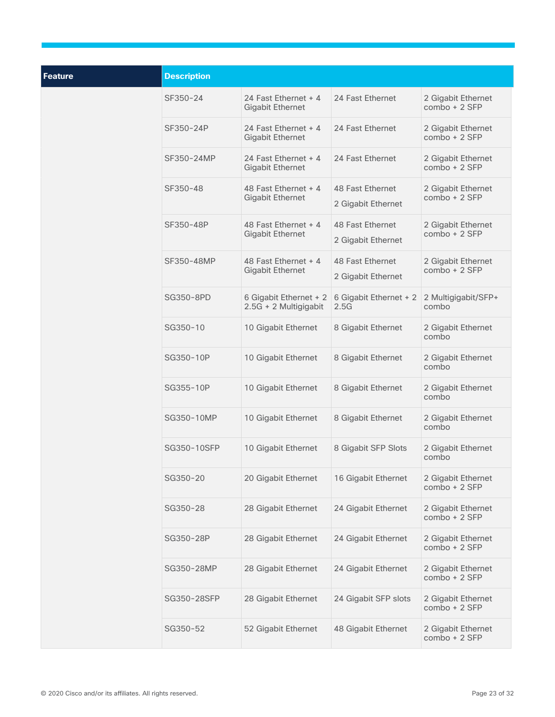| <b>Feature</b> | <b>Description</b> |                                                 |                                               |                                     |
|----------------|--------------------|-------------------------------------------------|-----------------------------------------------|-------------------------------------|
|                | SF350-24           | 24 Fast Ethernet + 4<br><b>Gigabit Ethernet</b> | 24 Fast Ethernet                              | 2 Gigabit Ethernet<br>combo + 2 SFP |
|                | SF350-24P          | 24 Fast Ethernet + 4<br><b>Gigabit Ethernet</b> | 24 Fast Ethernet                              | 2 Gigabit Ethernet<br>combo + 2 SFP |
|                | SF350-24MP         | 24 Fast Ethernet + 4<br><b>Gigabit Ethernet</b> | 24 Fast Ethernet                              | 2 Gigabit Ethernet<br>combo + 2 SFP |
|                | SF350-48           | 48 Fast Ethernet + 4<br><b>Gigabit Ethernet</b> | <b>48 Fast Ethernet</b><br>2 Gigabit Ethernet | 2 Gigabit Ethernet<br>combo + 2 SFP |
|                | SF350-48P          | 48 Fast Ethernet + 4<br><b>Gigabit Ethernet</b> | 48 Fast Ethernet<br>2 Gigabit Ethernet        | 2 Gigabit Ethernet<br>combo + 2 SFP |
|                | SF350-48MP         | 48 Fast Ethernet + 4<br><b>Gigabit Ethernet</b> | <b>48 Fast Ethernet</b><br>2 Gigabit Ethernet | 2 Gigabit Ethernet<br>combo + 2 SFP |
|                | SG350-8PD          | 6 Gigabit Ethernet + 2<br>2.5G + 2 Multigigabit | 6 Gigabit Ethernet + 2<br>2.5G                | 2 Multigigabit/SFP+<br>combo        |
|                | SG350-10           | 10 Gigabit Ethernet                             | 8 Gigabit Ethernet                            | 2 Gigabit Ethernet<br>combo         |
|                | SG350-10P          | 10 Gigabit Ethernet                             | 8 Gigabit Ethernet                            | 2 Gigabit Ethernet<br>combo         |
|                | SG355-10P          | 10 Gigabit Ethernet                             | 8 Gigabit Ethernet                            | 2 Gigabit Ethernet<br>combo         |
|                | SG350-10MP         | 10 Gigabit Ethernet                             | 8 Gigabit Ethernet                            | 2 Gigabit Ethernet<br>combo         |
|                | SG350-10SFP        | 10 Gigabit Ethernet                             | 8 Gigabit SFP Slots                           | 2 Gigabit Ethernet<br>combo         |
|                | SG350-20           | 20 Gigabit Ethernet                             | 16 Gigabit Ethernet                           | 2 Gigabit Ethernet<br>combo + 2 SFP |
|                | SG350-28           | 28 Gigabit Ethernet                             | 24 Gigabit Ethernet                           | 2 Gigabit Ethernet<br>combo + 2 SFP |
|                | SG350-28P          | 28 Gigabit Ethernet                             | 24 Gigabit Ethernet                           | 2 Gigabit Ethernet<br>combo + 2 SFP |
|                | SG350-28MP         | 28 Gigabit Ethernet                             | 24 Gigabit Ethernet                           | 2 Gigabit Ethernet<br>combo + 2 SFP |
|                | SG350-28SFP        | 28 Gigabit Ethernet                             | 24 Gigabit SFP slots                          | 2 Gigabit Ethernet<br>combo + 2 SFP |
|                | SG350-52           | 52 Gigabit Ethernet                             | 48 Gigabit Ethernet                           | 2 Gigabit Ethernet<br>combo + 2 SFP |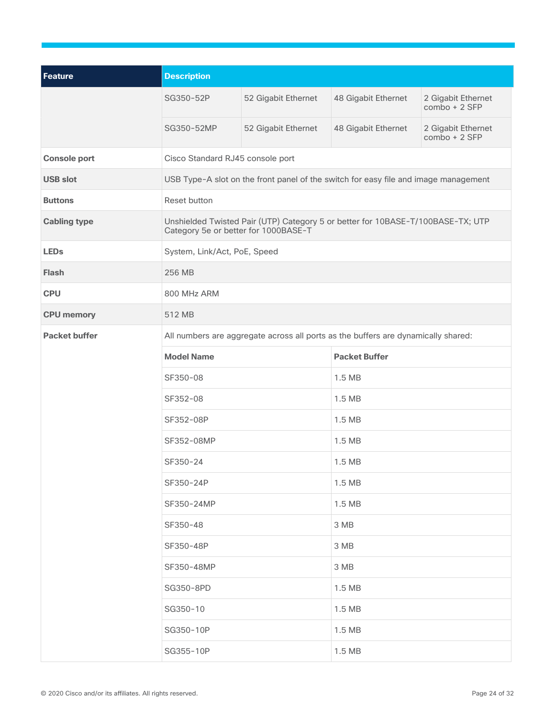| <b>Feature</b>       | <b>Description</b>                                                                                                      |                     |                                                                                     |                                     |  |
|----------------------|-------------------------------------------------------------------------------------------------------------------------|---------------------|-------------------------------------------------------------------------------------|-------------------------------------|--|
|                      | SG350-52P                                                                                                               | 52 Gigabit Ethernet | 48 Gigabit Ethernet                                                                 | 2 Gigabit Ethernet<br>combo + 2 SFP |  |
|                      | SG350-52MP                                                                                                              | 52 Gigabit Ethernet | 48 Gigabit Ethernet                                                                 | 2 Gigabit Ethernet<br>combo + 2 SFP |  |
| <b>Console port</b>  | Cisco Standard RJ45 console port                                                                                        |                     |                                                                                     |                                     |  |
| <b>USB slot</b>      |                                                                                                                         |                     | USB Type-A slot on the front panel of the switch for easy file and image management |                                     |  |
| <b>Buttons</b>       | Reset button                                                                                                            |                     |                                                                                     |                                     |  |
| <b>Cabling type</b>  | Unshielded Twisted Pair (UTP) Category 5 or better for 10BASE-T/100BASE-TX; UTP<br>Category 5e or better for 1000BASE-T |                     |                                                                                     |                                     |  |
| <b>LEDs</b>          | System, Link/Act, PoE, Speed                                                                                            |                     |                                                                                     |                                     |  |
| <b>Flash</b>         | 256 MB                                                                                                                  |                     |                                                                                     |                                     |  |
| <b>CPU</b>           | 800 MHz ARM                                                                                                             |                     |                                                                                     |                                     |  |
| <b>CPU</b> memory    | 512 MB                                                                                                                  |                     |                                                                                     |                                     |  |
| <b>Packet buffer</b> | All numbers are aggregate across all ports as the buffers are dynamically shared:                                       |                     |                                                                                     |                                     |  |
|                      | <b>Model Name</b>                                                                                                       |                     | <b>Packet Buffer</b>                                                                |                                     |  |
|                      | SF350-08                                                                                                                |                     | 1.5 MB                                                                              |                                     |  |
|                      | SF352-08                                                                                                                |                     | 1.5 MB                                                                              |                                     |  |
|                      | SF352-08P                                                                                                               |                     | 1.5 MB                                                                              |                                     |  |
|                      | SF352-08MP                                                                                                              |                     | 1.5 MB                                                                              |                                     |  |
|                      | SF350-24                                                                                                                |                     | 1.5 MB                                                                              |                                     |  |
|                      | SF350-24P                                                                                                               |                     | 1.5 MB                                                                              |                                     |  |
|                      | SF350-24MP                                                                                                              |                     | 1.5 MB                                                                              |                                     |  |
|                      | SF350-48                                                                                                                |                     | 3 MB                                                                                |                                     |  |
|                      | SF350-48P                                                                                                               |                     | 3 MB                                                                                |                                     |  |
|                      | SF350-48MP                                                                                                              |                     | 3 MB                                                                                |                                     |  |
|                      | SG350-8PD                                                                                                               |                     | 1.5 MB                                                                              |                                     |  |
|                      | SG350-10                                                                                                                |                     | 1.5 MB                                                                              |                                     |  |
|                      | SG350-10P                                                                                                               |                     | 1.5 MB                                                                              |                                     |  |
|                      | SG355-10P                                                                                                               |                     | 1.5 MB                                                                              |                                     |  |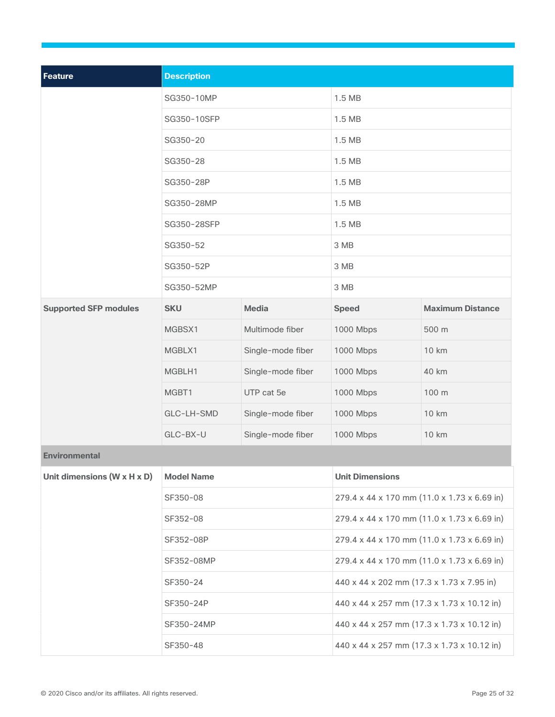| <b>Feature</b>               | <b>Description</b> |                   |                                             |                         |  |
|------------------------------|--------------------|-------------------|---------------------------------------------|-------------------------|--|
|                              | SG350-10MP         |                   | 1.5 MB                                      |                         |  |
|                              | SG350-10SFP        |                   | 1.5 MB                                      |                         |  |
|                              | SG350-20           |                   | 1.5 MB                                      |                         |  |
|                              | SG350-28           |                   | 1.5 MB                                      |                         |  |
|                              | SG350-28P          |                   | 1.5 MB                                      |                         |  |
|                              | SG350-28MP         |                   | 1.5 MB                                      |                         |  |
|                              | SG350-28SFP        |                   | 1.5 MB                                      |                         |  |
|                              | SG350-52           |                   | 3 MB                                        |                         |  |
|                              | SG350-52P          |                   | 3 MB                                        |                         |  |
|                              | SG350-52MP         |                   | 3 MB                                        |                         |  |
| <b>Supported SFP modules</b> | <b>SKU</b>         | <b>Media</b>      | <b>Speed</b>                                | <b>Maximum Distance</b> |  |
|                              | MGBSX1             | Multimode fiber   | 1000 Mbps                                   | 500 m                   |  |
|                              | MGBLX1             | Single-mode fiber | 1000 Mbps                                   | <b>10 km</b>            |  |
|                              | MGBLH1             | Single-mode fiber | 1000 Mbps                                   | 40 km                   |  |
|                              | MGBT1              | UTP cat 5e        | 1000 Mbps                                   | 100 m                   |  |
|                              | GLC-LH-SMD         | Single-mode fiber | 1000 Mbps                                   | 10 km                   |  |
|                              | GLC-BX-U           | Single-mode fiber | 1000 Mbps                                   | 10 km                   |  |
| <b>Environmental</b>         |                    |                   |                                             |                         |  |
| Unit dimensions (W x H x D)  | <b>Model Name</b>  |                   | <b>Unit Dimensions</b>                      |                         |  |
|                              | SF350-08           |                   | 279.4 x 44 x 170 mm (11.0 x 1.73 x 6.69 in) |                         |  |
|                              | SF352-08           |                   | 279.4 x 44 x 170 mm (11.0 x 1.73 x 6.69 in) |                         |  |
|                              | SF352-08P          |                   | 279.4 x 44 x 170 mm (11.0 x 1.73 x 6.69 in) |                         |  |
|                              | SF352-08MP         |                   | 279.4 x 44 x 170 mm (11.0 x 1.73 x 6.69 in) |                         |  |
|                              | SF350-24           |                   | 440 x 44 x 202 mm (17.3 x 1.73 x 7.95 in)   |                         |  |
|                              | SF350-24P          |                   | 440 x 44 x 257 mm (17.3 x 1.73 x 10.12 in)  |                         |  |
|                              | SF350-24MP         |                   | 440 x 44 x 257 mm (17.3 x 1.73 x 10.12 in)  |                         |  |
|                              | SF350-48           |                   | 440 x 44 x 257 mm (17.3 x 1.73 x 10.12 in)  |                         |  |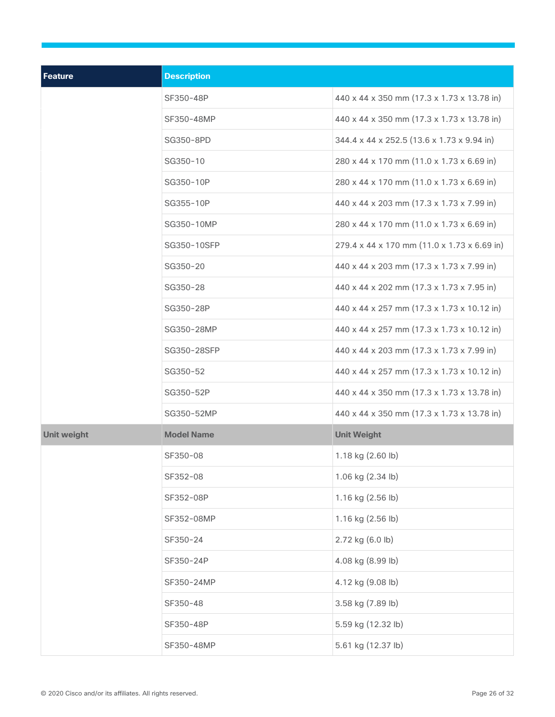| <b>Feature</b>     | <b>Description</b> |                                             |
|--------------------|--------------------|---------------------------------------------|
|                    | SF350-48P          | 440 x 44 x 350 mm (17.3 x 1.73 x 13.78 in)  |
|                    | SF350-48MP         | 440 x 44 x 350 mm (17.3 x 1.73 x 13.78 in)  |
|                    | SG350-8PD          | 344.4 x 44 x 252.5 (13.6 x 1.73 x 9.94 in)  |
|                    | SG350-10           | 280 x 44 x 170 mm (11.0 x 1.73 x 6.69 in)   |
|                    | SG350-10P          | 280 x 44 x 170 mm (11.0 x 1.73 x 6.69 in)   |
|                    | SG355-10P          | 440 x 44 x 203 mm (17.3 x 1.73 x 7.99 in)   |
|                    | SG350-10MP         | 280 x 44 x 170 mm (11.0 x 1.73 x 6.69 in)   |
|                    | SG350-10SFP        | 279.4 x 44 x 170 mm (11.0 x 1.73 x 6.69 in) |
|                    | SG350-20           | 440 x 44 x 203 mm (17.3 x 1.73 x 7.99 in)   |
|                    | SG350-28           | 440 x 44 x 202 mm (17.3 x 1.73 x 7.95 in)   |
|                    | SG350-28P          | 440 x 44 x 257 mm (17.3 x 1.73 x 10.12 in)  |
|                    | SG350-28MP         | 440 x 44 x 257 mm (17.3 x 1.73 x 10.12 in)  |
|                    | SG350-28SFP        | 440 x 44 x 203 mm (17.3 x 1.73 x 7.99 in)   |
|                    | SG350-52           | 440 x 44 x 257 mm (17.3 x 1.73 x 10.12 in)  |
|                    | SG350-52P          | 440 x 44 x 350 mm (17.3 x 1.73 x 13.78 in)  |
|                    | SG350-52MP         | 440 x 44 x 350 mm (17.3 x 1.73 x 13.78 in)  |
| <b>Unit weight</b> | <b>Model Name</b>  | <b>Unit Weight</b>                          |
|                    | SF350-08           | 1.18 kg (2.60 lb)                           |
|                    | SF352-08           | 1.06 kg (2.34 lb)                           |
|                    | SF352-08P          | 1.16 kg (2.56 lb)                           |
|                    | SF352-08MP         | 1.16 kg (2.56 lb)                           |
|                    | SF350-24           | 2.72 kg (6.0 lb)                            |
|                    | SF350-24P          | 4.08 kg (8.99 lb)                           |
|                    | SF350-24MP         | 4.12 kg (9.08 lb)                           |
|                    | SF350-48           | 3.58 kg (7.89 lb)                           |
|                    | SF350-48P          | 5.59 kg (12.32 lb)                          |
|                    | SF350-48MP         | 5.61 kg (12.37 lb)                          |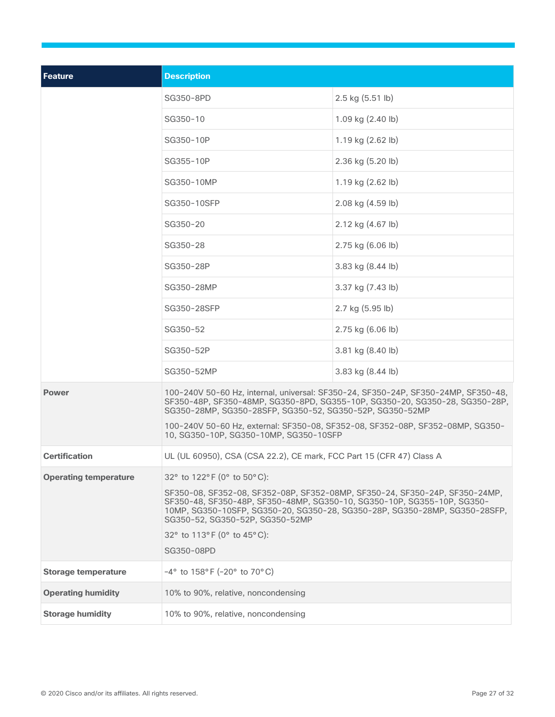| Feature                      | <b>Description</b>                                                                                                                                                                                                                                                                                                                                  |                                                                                                                                                                                                                                                     |  |
|------------------------------|-----------------------------------------------------------------------------------------------------------------------------------------------------------------------------------------------------------------------------------------------------------------------------------------------------------------------------------------------------|-----------------------------------------------------------------------------------------------------------------------------------------------------------------------------------------------------------------------------------------------------|--|
|                              | SG350-8PD                                                                                                                                                                                                                                                                                                                                           | $2.5$ kg $(5.51$ lb)                                                                                                                                                                                                                                |  |
|                              | SG350-10                                                                                                                                                                                                                                                                                                                                            | 1.09 kg (2.40 lb)                                                                                                                                                                                                                                   |  |
|                              | SG350-10P                                                                                                                                                                                                                                                                                                                                           | 1.19 kg (2.62 lb)                                                                                                                                                                                                                                   |  |
|                              | SG355-10P                                                                                                                                                                                                                                                                                                                                           | 2.36 kg (5.20 lb)                                                                                                                                                                                                                                   |  |
|                              | SG350-10MP                                                                                                                                                                                                                                                                                                                                          | 1.19 kg (2.62 lb)                                                                                                                                                                                                                                   |  |
|                              | SG350-10SFP                                                                                                                                                                                                                                                                                                                                         | $2.08$ kg $(4.59$ lb)                                                                                                                                                                                                                               |  |
|                              | SG350-20                                                                                                                                                                                                                                                                                                                                            | 2.12 kg (4.67 lb)                                                                                                                                                                                                                                   |  |
|                              | SG350-28                                                                                                                                                                                                                                                                                                                                            | $2.75$ kg $(6.06$ lb)                                                                                                                                                                                                                               |  |
|                              | SG350-28P                                                                                                                                                                                                                                                                                                                                           | 3.83 kg (8.44 lb)                                                                                                                                                                                                                                   |  |
|                              | SG350-28MP                                                                                                                                                                                                                                                                                                                                          | 3.37 kg (7.43 lb)                                                                                                                                                                                                                                   |  |
|                              | SG350-28SFP                                                                                                                                                                                                                                                                                                                                         | 2.7 kg (5.95 lb)                                                                                                                                                                                                                                    |  |
|                              | SG350-52                                                                                                                                                                                                                                                                                                                                            | 2.75 kg (6.06 lb)                                                                                                                                                                                                                                   |  |
|                              | SG350-52P                                                                                                                                                                                                                                                                                                                                           | 3.81 kg (8.40 lb)                                                                                                                                                                                                                                   |  |
|                              | SG350-52MP                                                                                                                                                                                                                                                                                                                                          | 3.83 kg (8.44 lb)                                                                                                                                                                                                                                   |  |
| <b>Power</b>                 | SG350-28MP, SG350-28SFP, SG350-52, SG350-52P, SG350-52MP<br>10, SG350-10P, SG350-10MP, SG350-10SFP                                                                                                                                                                                                                                                  | 100-240V 50-60 Hz, internal, universal: SF350-24, SF350-24P, SF350-24MP, SF350-48,<br>SF350-48P, SF350-48MP, SG350-8PD, SG355-10P, SG350-20, SG350-28, SG350-28P,<br>100-240V 50-60 Hz, external: SF350-08, SF352-08, SF352-08P, SF352-08MP, SG350- |  |
| <b>Certification</b>         | UL (UL 60950), CSA (CSA 22.2), CE mark, FCC Part 15 (CFR 47) Class A                                                                                                                                                                                                                                                                                |                                                                                                                                                                                                                                                     |  |
| <b>Operating temperature</b> | 32° to 122° F (0° to 50° C):<br>SF350-08, SF352-08, SF352-08P, SF352-08MP, SF350-24, SF350-24P, SF350-24MP,<br>SF350-48, SF350-48P, SF350-48MP, SG350-10, SG350-10P, SG355-10P, SG350-<br>10MP, SG350-10SFP, SG350-20, SG350-28, SG350-28P, SG350-28MP, SG350-28SFP,<br>SG350-52, SG350-52P, SG350-52MP<br>32° to 113°F (0° to 45°C):<br>SG350-08PD |                                                                                                                                                                                                                                                     |  |
| <b>Storage temperature</b>   | $-4^{\circ}$ to $158^{\circ}$ F (-20° to 70°C)                                                                                                                                                                                                                                                                                                      |                                                                                                                                                                                                                                                     |  |
| <b>Operating humidity</b>    | 10% to 90%, relative, noncondensing                                                                                                                                                                                                                                                                                                                 |                                                                                                                                                                                                                                                     |  |
| <b>Storage humidity</b>      | 10% to 90%, relative, noncondensing                                                                                                                                                                                                                                                                                                                 |                                                                                                                                                                                                                                                     |  |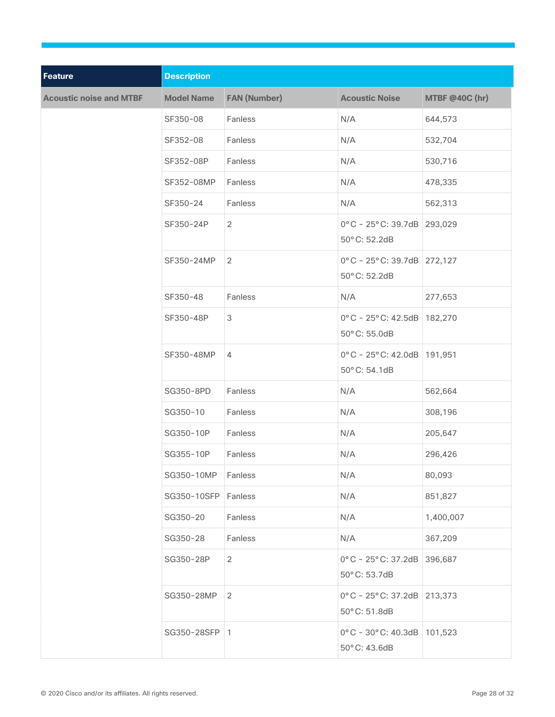| <b>Feature</b>                 | <b>Description</b> |                     |                                                                 |                       |
|--------------------------------|--------------------|---------------------|-----------------------------------------------------------------|-----------------------|
| <b>Acoustic noise and MTBF</b> | <b>Model Name</b>  | <b>FAN (Number)</b> | <b>Acoustic Noise</b>                                           | <b>MTBF @40C (hr)</b> |
|                                | SF350-08           | Fanless             | N/A                                                             | 644,573               |
|                                | SF352-08           | Fanless             | N/A                                                             | 532,704               |
|                                | SF352-08P          | Fanless             | N/A                                                             | 530,716               |
|                                | SF352-08MP         | Fanless             | N/A                                                             | 478,335               |
|                                | SF350-24           | Fanless             | N/A                                                             | 562,313               |
|                                | SF350-24P          | $\overline{2}$      | $0^{\circ}$ C - 25°C: 39.7dB 293,029<br>50°C: 52.2dB            |                       |
|                                | SF350-24MP         | $\overline{2}$      | $0^{\circ}$ C - 25°C: 39.7dB 272,127<br>50°C: 52.2dB            |                       |
|                                | SF350-48           | Fanless             | N/A                                                             | 277,653               |
|                                | SF350-48P          | 3                   | $0^{\circ}$ C - 25°C: 42.5dB   182,270<br>50°C: 55.0dB          |                       |
|                                | SF350-48MP         | 4                   | $0^{\circ}$ C - 25°C: 42.0dB   191,951<br>50°C: 54.1dB          |                       |
|                                | SG350-8PD          | Fanless             | N/A                                                             | 562,664               |
|                                | SG350-10           | Fanless             | N/A                                                             | 308,196               |
|                                | SG350-10P          | Fanless             | N/A                                                             | 205,647               |
|                                | SG355-10P          | Fanless             | N/A                                                             | 296,426               |
|                                | SG350-10MP         | Fanless             | N/A                                                             | 80,093                |
|                                | SG350-10SFP        | Fanless             | N/A                                                             | 851,827               |
|                                | SG350-20           | Fanless             | N/A                                                             | 1,400,007             |
|                                | SG350-28           | Fanless             | N/A                                                             | 367,209               |
|                                | SG350-28P          | $\overline{2}$      | $0^{\circ}$ C - 25°C: 37.2dB 396,687<br>50°C: 53.7dB            |                       |
|                                | SG350-28MP         | $\overline{2}$      | $0^{\circ}$ C - 25 $^{\circ}$ C: 37.2dB 213,373<br>50°C: 51.8dB |                       |
|                                | SG350-28SFP 1      |                     | $0^{\circ}$ C - 30°C: 40.3dB 101,523<br>50°C: 43.6dB            |                       |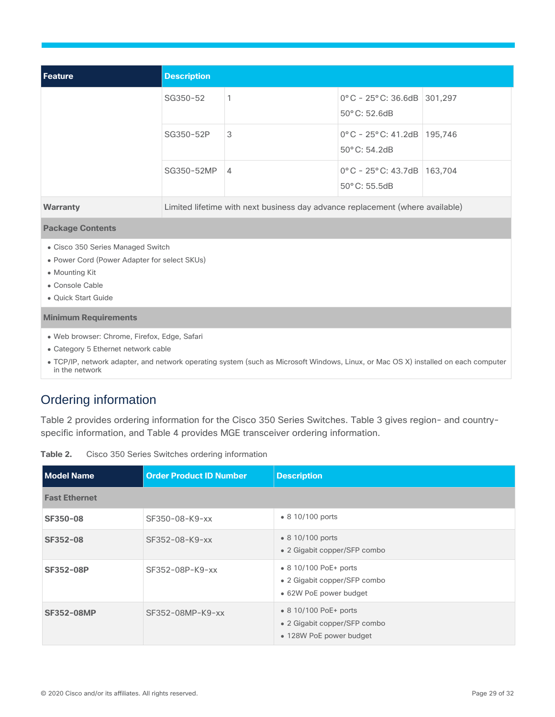| l Feature       | <b>Description</b>                                                            |                |                                                                             |  |  |
|-----------------|-------------------------------------------------------------------------------|----------------|-----------------------------------------------------------------------------|--|--|
|                 | SG350-52                                                                      |                | $0^{\circ}$ C - 25 $^{\circ}$ C: 36.6dB 301,297<br>$50^{\circ}$ C: 52.6dB   |  |  |
|                 | SG350-52P                                                                     | 3              | $0^{\circ}$ C - 25 $^{\circ}$ C: 41.2dB   195,746<br>$50^{\circ}$ C: 54.2dB |  |  |
|                 | SG350-52MP                                                                    | $\overline{4}$ | $0^{\circ}$ C - 25 $^{\circ}$ C: 43.7dB   163,704<br>$50^{\circ}$ C: 55.5dB |  |  |
| <b>Warranty</b> | Limited lifetime with next business day advance replacement (where available) |                |                                                                             |  |  |

#### **Package Contents**

- Cisco 350 Series Managed Switch
- Power Cord (Power Adapter for select SKUs)
- Mounting Kit
- Console Cable
- Quick Start Guide

#### **Minimum Requirements**

- Web browser: Chrome, Firefox, Edge, Safari
- Category 5 Ethernet network cable
- TCP/IP, network adapter, and network operating system (such as Microsoft Windows, Linux, or Mac OS X) installed on each computer in the network

## <span id="page-28-0"></span>Ordering information

Table 2 provides ordering information for the Cisco 350 Series Switches. Table 3 gives region- and countryspecific information, and Table 4 provides MGE transceiver ordering information.

| Table 2. |  | Cisco 350 Series Switches ordering information |  |  |
|----------|--|------------------------------------------------|--|--|
|----------|--|------------------------------------------------|--|--|

| <b>Model Name</b>    | <b>Order Product ID Number</b> | <b>Description</b>                                                               |  |  |  |  |
|----------------------|--------------------------------|----------------------------------------------------------------------------------|--|--|--|--|
| <b>Fast Ethernet</b> |                                |                                                                                  |  |  |  |  |
| <b>SF350-08</b>      | SF350-08-K9-xx                 | • 8 10/100 ports                                                                 |  |  |  |  |
| <b>SF352-08</b>      | $SF352-08-K9-xx$               | $\bullet$ 8 10/100 ports<br>• 2 Gigabit copper/SFP combo                         |  |  |  |  |
| <b>SF352-08P</b>     | SF352-08P-K9-xx                | • 8 10/100 PoE+ ports<br>• 2 Gigabit copper/SFP combo<br>• 62W PoE power budget  |  |  |  |  |
| <b>SF352-08MP</b>    | SF352-08MP-K9-xx               | • 8 10/100 PoE+ ports<br>• 2 Gigabit copper/SFP combo<br>• 128W PoE power budget |  |  |  |  |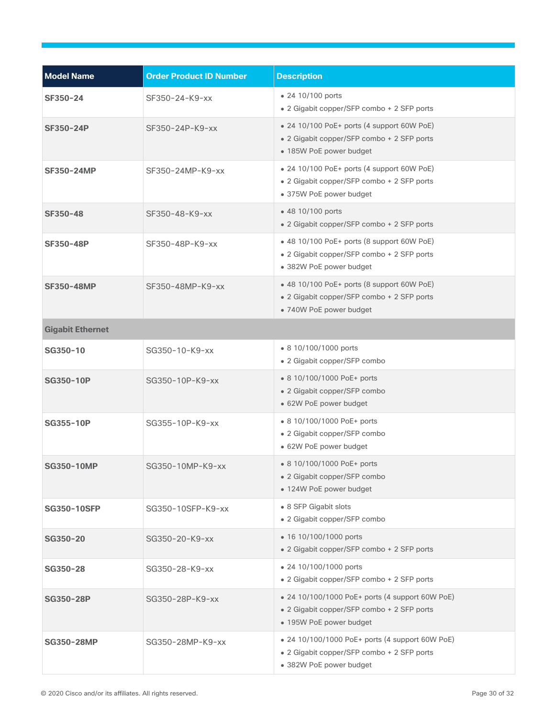| <b>Model Name</b>       | <b>Order Product ID Number</b> | <b>Description</b>                                                                                                       |
|-------------------------|--------------------------------|--------------------------------------------------------------------------------------------------------------------------|
| SF350-24                | SF350-24-K9-xx                 | • 24 10/100 ports<br>• 2 Gigabit copper/SFP combo + 2 SFP ports                                                          |
| <b>SF350-24P</b>        | SF350-24P-K9-xx                | • 24 10/100 PoE+ ports (4 support 60W PoE)<br>• 2 Gigabit copper/SFP combo + 2 SFP ports<br>• 185W PoE power budget      |
| <b>SF350-24MP</b>       | SF350-24MP-K9-xx               | • 24 10/100 PoE+ ports (4 support 60W PoE)<br>• 2 Gigabit copper/SFP combo + 2 SFP ports<br>• 375W PoE power budget      |
| SF350-48                | SF350-48-K9-xx                 | • 48 10/100 ports<br>• 2 Gigabit copper/SFP combo + 2 SFP ports                                                          |
| <b>SF350-48P</b>        | SF350-48P-K9-xx                | • 48 10/100 PoE+ ports (8 support 60W PoE)<br>• 2 Gigabit copper/SFP combo + 2 SFP ports<br>• 382W PoE power budget      |
| <b>SF350-48MP</b>       | SF350-48MP-K9-xx               | • 48 10/100 PoE+ ports (8 support 60W PoE)<br>• 2 Gigabit copper/SFP combo + 2 SFP ports<br>• 740W PoE power budget      |
| <b>Gigabit Ethernet</b> |                                |                                                                                                                          |
| SG350-10                | SG350-10-K9-xx                 | • 8 10/100/1000 ports<br>· 2 Gigabit copper/SFP combo                                                                    |
| <b>SG350-10P</b>        | SG350-10P-K9-xx                | • 8 10/100/1000 PoE+ ports<br>• 2 Gigabit copper/SFP combo<br>• 62W PoE power budget                                     |
| <b>SG355-10P</b>        | SG355-10P-K9-xx                | • 8 10/100/1000 PoE+ ports<br>· 2 Gigabit copper/SFP combo<br>• 62W PoE power budget                                     |
| <b>SG350-10MP</b>       | SG350-10MP-K9-xx               | • 8 10/100/1000 PoE+ ports<br>• 2 Gigabit copper/SFP combo<br>• 124W PoE power budget                                    |
| <b>SG350-10SFP</b>      | SG350-10SFP-K9-xx              | · 8 SFP Gigabit slots<br>• 2 Gigabit copper/SFP combo                                                                    |
| SG350-20                | SG350-20-K9-xx                 | • 16 10/100/1000 ports<br>• 2 Gigabit copper/SFP combo + 2 SFP ports                                                     |
| SG350-28                | SG350-28-K9-xx                 | • 24 10/100/1000 ports<br>• 2 Gigabit copper/SFP combo + 2 SFP ports                                                     |
| <b>SG350-28P</b>        | SG350-28P-K9-xx                | • 24 10/100/1000 PoE+ ports (4 support 60W PoE)<br>• 2 Gigabit copper/SFP combo + 2 SFP ports<br>• 195W PoE power budget |
| <b>SG350-28MP</b>       | SG350-28MP-K9-xx               | • 24 10/100/1000 PoE+ ports (4 support 60W PoE)<br>• 2 Gigabit copper/SFP combo + 2 SFP ports<br>· 382W PoE power budget |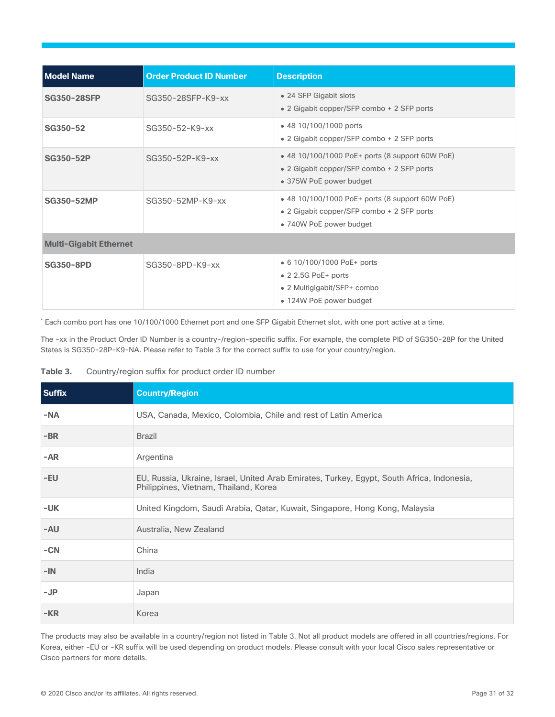| <b>Model Name</b>             | <b>Order Product ID Number</b> | <b>Description</b>                                                                                                       |  |  |
|-------------------------------|--------------------------------|--------------------------------------------------------------------------------------------------------------------------|--|--|
| <b>SG350-28SFP</b>            | SG350-28SFP-K9-xx              | • 24 SFP Gigabit slots<br>• 2 Gigabit copper/SFP combo + 2 SFP ports                                                     |  |  |
| SG350-52                      | SG350-52-K9-xx                 | • 48 10/100/1000 ports<br>• 2 Gigabit copper/SFP combo + 2 SFP ports                                                     |  |  |
| <b>SG350-52P</b>              | SG350-52P-K9-xx                | • 48 10/100/1000 PoE+ ports (8 support 60W PoE)<br>• 2 Gigabit copper/SFP combo + 2 SFP ports<br>• 375W PoE power budget |  |  |
| <b>SG350-52MP</b>             | SG350-52MP-K9-xx               | • 48 10/100/1000 PoE+ ports (8 support 60W PoE)<br>• 2 Gigabit copper/SFP combo + 2 SFP ports<br>• 740W PoE power budget |  |  |
| <b>Multi-Gigabit Ethernet</b> |                                |                                                                                                                          |  |  |
| <b>SG350-8PD</b>              | SG350-8PD-K9-xx                | • 6 10/100/1000 PoE+ ports<br>$\bullet$ 2 2.5G PoE+ ports<br>• 2 Multigigabit/SFP+ combo<br>• 124W PoE power budget      |  |  |

\* Each combo port has one 10/100/1000 Ethernet port and one SFP Gigabit Ethernet slot, with one port active at a time.

The -xx in the Product Order ID Number is a country-/region-specific suffix. For example, the complete PID of SG350-28P for the United States is SG350-28P-K9-NA. Please refer to Table 3 for the correct suffix to use for your country/region.

| Table 3. | Country/region suffix for product order ID number |  |  |  |  |  |  |
|----------|---------------------------------------------------|--|--|--|--|--|--|
|----------|---------------------------------------------------|--|--|--|--|--|--|

| <b>Suffix</b> | <b>Country/Region</b>                                                                                                               |
|---------------|-------------------------------------------------------------------------------------------------------------------------------------|
| $-NA$         | USA, Canada, Mexico, Colombia, Chile and rest of Latin America                                                                      |
| $-BR$         | Brazil                                                                                                                              |
| $-AR$         | Argentina                                                                                                                           |
| -EU           | EU, Russia, Ukraine, Israel, United Arab Emirates, Turkey, Egypt, South Africa, Indonesia,<br>Philippines, Vietnam, Thailand, Korea |
| $-UK$         | United Kingdom, Saudi Arabia, Qatar, Kuwait, Singapore, Hong Kong, Malaysia                                                         |
| -AU           | Australia, New Zealand                                                                                                              |
| $-CN$         | China                                                                                                                               |
| $-IN$         | India                                                                                                                               |
| $-JP$         | Japan                                                                                                                               |
| $-KR$         | Korea                                                                                                                               |

The products may also be available in a country/region not listed in Table 3. Not all product models are offered in all countries/regions. For Korea, either -EU or -KR suffix will be used depending on product models. Please consult with your local Cisco sales representative or Cisco partners for more details.